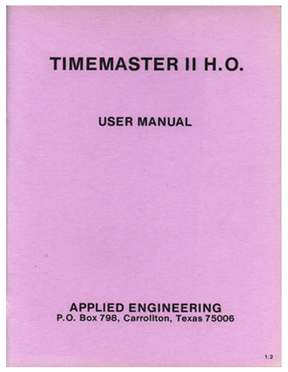# **TIMEMASTER II H.O.**

**USER MANUAL** 

**APPLIED ENGINEERING** P.O. Box 798, Carrollton, Texas 75006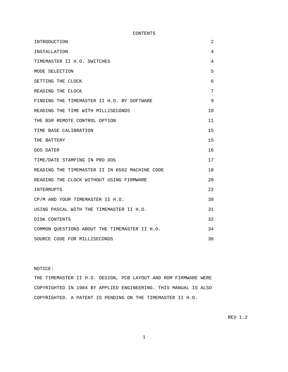CONTENTS

| INTRODUCTION                                   | 2  |
|------------------------------------------------|----|
| INSTALLATION                                   | 4  |
| TIMEMASTER II H.O. SWITCHES                    | 4  |
| MODE SELECTION                                 | 5  |
| SETTING THE CLOCK                              | 6  |
| READING THE CLOCK                              | 7  |
| FINDING THE TIMEMASTER II H.O. BY SOFTWARE     | 9  |
| READING THE TIME WITH MILLISECONDS             | 10 |
| THE BSR REMOTE CONTROL OPTION                  | 11 |
| TIME BASE CALIBRATION                          | 15 |
| THE BATTERY                                    | 15 |
| DOS DATER                                      | 16 |
| TIME/DATE STAMPING IN PRO DOS                  | 17 |
| READING THE TIMEMASTER II IN 6502 MACHINE CODE | 18 |
| READING THE CLOCK WITHOUT USING FIRMWARE       | 20 |
| INTERRUPTS                                     | 22 |
| CP/M AND YOUR TIMEMASTER II H.O.               | 30 |
| USING PASCAL WITH THE TIMEMASTER II H.O.       | 31 |
| DISK CONTENTS                                  | 32 |
| COMMON OUESTIONS ABOUT THE TIMEMASTER II H.O.  | 34 |
| SOURCE CODE FOR MILLISECONDS                   | 36 |

NOTICE:

THE TIMEMASTER II H.O. DESIGN, PCB LAYOUT AND ROM FIRMWARE WERE COPYRIGHTED IN 1984 BY APPLIED ENGINEERING. THIS MANUAL IS ALSO COPYRIGHTED. A PATENT IS PENDING ON THE TIMEMASTER II H.O.

REV 1.2

1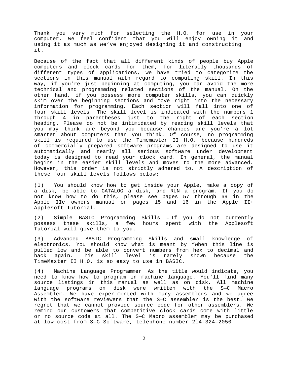<span id="page-2-0"></span>Thank you very much for selecting the H.O. for use in your computer. We feel confident that you will enjoy owning it and using it as much as we've enjoyed designing it and constructing it.

Because of the fact that all different kinds of people buy Apple computers and clock cards for them, for literally thousands of different types of applications, we have tried to categorize the sections in this manual with regard to computing skill. In this way, if you're just beginning at computing, you can avoid the more technical and programming related sections of the manual. On the other hand, if you possess more computer skills, you can quickly skim over the beginning sections and move right into the necessary information for programming. Each section will fall into one of four skill levels. The skill level is indicated with the numbers 1 through 4 in parentheses just to the right of each section heading. Please do not be intimidated by reading skill levels that you may think are beyond you because chances are you're a lot smarter about computers than you think. Of course, no programming skill is required to use the Timemaster II H.O. because hundreds of commercially prepared software programs are designed to use it automatically and nearly all serious software under development today is designed to read your clock card. In general, the manual begins in the easier skill levels and moves to the more advanced. However, this order is not strictly adhered to. A description of these four skill levels follows below:

(1) You should know how to get inside your Apple, make a copy of a disk, be able to CATALOG a disk, and RUN a program. If you do not know how to do this, please see pages 57 through 69 in the Apple IIe owners manual or pages 15 and 16 in the Apple II+ Applesoft Tutorial.

(2) Simple BASIC Programming Skills — If you do not currently possess these skills, a few hours spent with the Applesoft Tutorial will give them to you.

(3) Advanced BASIC Programming Skills and small knowledge of electronics. You should know what is meant by "when this line is pulled low and be able to convert numbers from hex to decimal and back again. This skill level is rarely shown because the TimeMaster II H.O. is so easy to use in BASIC.

(4) Machine Language Programmer As the title would indicate, you need to know how to program in machine language. You'll find many source listings in this manual as well as on disk. All machine language programs on disk were written with the S—C Macro Assembler. We have experimented with many assemblers and we agree with the software reviewers that the S—C assembler is the best. We regret that we cannot provide source code for other assemblers. We remind our customers that competitive clock cards come with little or no source code at all. The S—C Macro assembler may be purchased at low cost from S—C Software, telephone number 2l4-324—2050.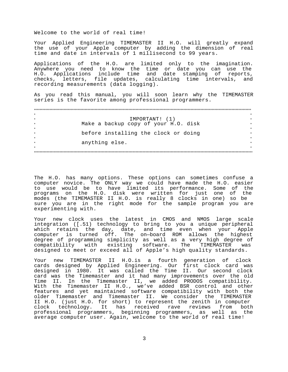Welcome to the world of real time!

Your Applied Engineering TIMEMASTER II H.O. will greatly expand the use of your Apple computer by adding the dimension of real time and date in intervals of 1 millisecond to 99 years.

Applications of the H.O. are limited only to the imagination. Anywhere you need to know the time or date you can use the H.O. Applications include time and date stamping of reports, checks, letters, file updates, calculating time intervals, and recording measurements (data logging).

As you read this manual, you will soon learn why the TIMEMASTER series is the favorite among professional programmers.

| $\star$ |                                      |  |
|---------|--------------------------------------|--|
|         | IMPORTANT! (1)                       |  |
| $\star$ | Make a backup copy of your H.O. disk |  |
|         |                                      |  |
|         | before installing the clock or doing |  |
|         |                                      |  |
|         | anything else.                       |  |
| $\star$ |                                      |  |
|         |                                      |  |

The H.O. has many options. These options can sometimes confuse a computer novice. The ONLY way we could have made the H.O. easier to use would be to have limited its performance. Some of the programs on the H.O. disk were written for just one of the modes (the TIMEMASTER II H.O. is really 8 clocks in one) so be sure you are in the right mode for the sample program you are experimenting with.

Your new clock uses the latest in CMOS and NMOS large scale integration ([.51) technology to bring to you a unique peripheral which retains the day, date, and time even when your Apple computer is turned off. The on—board ROM allows the highest degree of programming simplicity as well as a very high degree of compatibility with existing software. The TIMEMASTER was designed to meet or exceed all of Apple's high quality standards.

Your new TIMEMASTER II H.O.is a fourth generation of clock cards designed by Applied Engineering. Our first clock card was designed in 1980. It was called the Time II. Our second clock card was the Timemaster and it had many improvements over the old Time II. In the Timemaster II, we added PRODOS compatibility. With the Timemaster II H.O., we've added BSR control and other features and yet maintained software compatibility with both the older Timemaster and Timemaster II. We consider the TIMEMASTER II H.O. (just H.O. for short) to represent the zenith in computer clock technology. It has received rave reviews from both professional programmers, beginning programmers, as well as the average computer user. Again, welcome to the world of real time!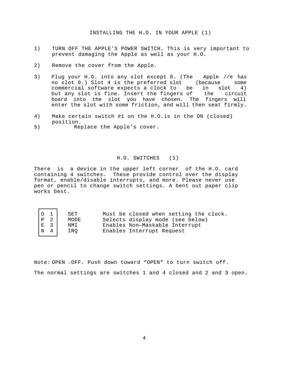- <span id="page-4-0"></span>1) TURN OFF THE APPLE'S POWER SWITCH. This is very important to prevent damaging the Apple as well as your H.O.
- 2) Remove the cover from the Apple.
- 3) Plug your H.O. into any slot except 0. (The Apple //e has no slot 0.) Slot 4 is the preferred slot (because some commercial software expects a clock to be in slot 4)<br>but any slot is fine. Insert the fingers of the circuit but any slot is fine. Insert the fingers of the circuit board into the slot you have chosen. The fingers will enter the slot with some friction, and will then seat firmly.
- 4) Make certain switch #1 on the H.O.is in the ON (closed) position.
- 5) Replace the Apple's cover.

г

┑

## H.O. SWITCHES (1)

There is a device in the upper left corner of the H.O. card containing 4 switches. These provide control over the display format, enable/disable interrupts, and more. Please never use pen or pencil to change switch settings. A bent out paper clip works best.

| Must be closed when setting the clock.<br>SET                                                                                                                                    |  |
|----------------------------------------------------------------------------------------------------------------------------------------------------------------------------------|--|
| Selects display mode (see below)<br>MODE                                                                                                                                         |  |
| Enables Non-Maskable Interrupt<br>NMI                                                                                                                                            |  |
| $\begin{array}{ c c } \hline \mbox{O} & \mbox{1} \\ \mbox{P} & \mbox{2} \\ \mbox{E} & \mbox{3} \\ \mbox{N} & \mbox{4} \\ \hline \end{array}$<br>Enables Interrupt Request<br>IRO |  |

Note: OPEN = OFF. Push down toward "OPEN" to turn switch off. The normal settings are switches 1 and 4 closed and 2 and 3 open.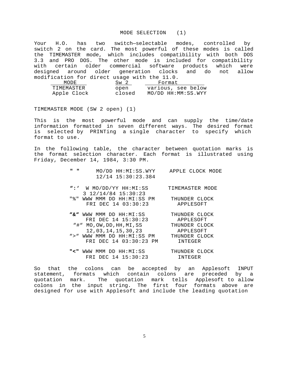#### MODE SELECTION (1)

<span id="page-5-0"></span>Your H.O. has two switch—selectable modes, controlled by switch 2 on the card. The most powerful of these modes is called the TIMEMASTER mode, which includes compatibility with both DOS 3.3 and PRO DOS. The other mode is included for compatibility with certain older commercial software products which were designed around older generation clocks and do not allow modification for direct usage with the 11.0.

| MODE        | Sw <sub>2</sub> | Format             |
|-------------|-----------------|--------------------|
| TIMEMASTER  | open            | various, see below |
| Apple Clock | closed          | MO/DD HH:MM:SS.WYY |

TIMEMASTER MODE (SW 2 open) (1)

This is the most powerful mode and can supply the time/date information formatted in seven different ways. The desired format is selected by PRINTing a single character to specify which format to use.

In the following table, the character between quotation marks is the format selection character. Each format is illustrated using Friday, December 14, 1984, 3:30 PM.

| <b>11 11</b> |  | MO/DD HH:MI:SS.WYY | APPLE CLOCK MODE |  |
|--------------|--|--------------------|------------------|--|
|              |  | 12/14 15:30:23.384 |                  |  |

| W MO/DD/YY HH:MI:SS | TIMEMASTER MODE |
|---------------------|-----------------|
| 3 12/14/84 15:30:23 |                 |

| _ _ _ _ _ _ _ _ _ _ _ _ _<br>"%" WWW MMM DD HH:MI:SS PM | THUNDER CLOCK |
|---------------------------------------------------------|---------------|
| FRI DEC 14 03:30:23                                     | APPLESOFT     |

| WWW MMM DD HH:MI:SS<br>n & n | THUNDER CLOCK |
|------------------------------|---------------|
| FRI DEC 14 15:30:23          | APPLESOFT     |
| "#" MO, OW, DD, HH, MI, SS   | THUNDER CLOCK |
| 12,03,14,15,30,23            | APPLESOFT     |
| ">" WWW MMM DD HH:MI:SS PM   | THUNDER CLOCK |
| FRI DEC 14 03:30:23 PM       | INTEGER       |
|                              |               |

**"<"** WWW MMM DD HH:MI:SS THUNDER CLOCK FRI DEC 14 15:30:23 INTEGER

So that the colons can be accepted by an Applesoft INPUT statement, formats which contain colons are preceded by a quotation mark. The quotation mark tells Applesoft to allow colons in the input string. The first four formats above are designed for use with Applesoft and include the leading quotation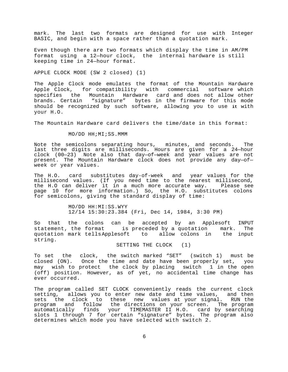<span id="page-6-0"></span>mark. The last two formats are designed for use with Integer BASIC, and begin with a space rather than a quotation mark.

Even though there are two formats which display the time in AM/PM format using a 12—hour clock, the internal hardware is still keeping time in 24—hour format.

APPLE CLOCK MODE (SW 2 closed) (1)

The Apple Clock mode emulates the format of the Mountain Hardware Apple Clock, for compatibility with commercial software which specifies the Mountain Hardware card and does not allow other brands. Certain "signature" bytes in the firmware for this mode should be recognized by such software, allowing you to use **it** with your H.O.

The Mountain Hardware card delivers the time/date in this format:

# MO/DD HH;MI;SS.MMM

Note the semicolons separating hours, minutes, and seconds. The last three digits are milliseconds. Hours are given for a 24—hour clock (00—23) . Note also that day—of—week and year values are not present. The Mountain Hardware clock does not provide any day—of week or year values.

The H.O. card substitutes day-of-week and year values for the millisecond values. (If you need time to the nearest millisecond, the H.O can deliver it in a much more accurate way. Please see page 10 for more information.) So, the H.O. substitutes colons for semicolons, giving the standard display of time:

> MO/DD HH:MI:SS.WYY 12/14 15:30:23.384 (Fri, Dec 14, 1984, 3:30 PM)

So that the colons can be accepted by an Applesoft INPUT statement, the format is preceded by a quotation mark. The quotation mark tellsApplesoft to allow colons in the input string.

SETTING THE CLOCK (1)

To set the clock, the switch marked "SET" (switch 1) must be closed (ON). Once the time and date have been properly set, you may wish to protect the clock by placing switch 1 in the open (off) position. However, as of yet, no accidental time change has ever occurred.

The program called SET CLOCK conveniently reads the current clock setting, allows you to enter new date and time values, and then sets the clock to these new values at your signal. RUN the program and follow the directions on your screen. The program automatically finds your TIMEMASTER II H.O. card by searching slots 1 through 7 for certain "signature" bytes. The program also determines which mode you have selected with switch 2.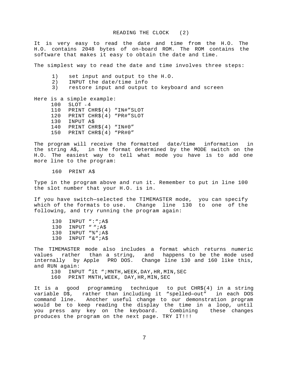<span id="page-7-0"></span>It is very easy to read the date and time from the H.O. The H.O. contains 2048 bytes of on-board ROM. The ROM contains the software that makes it easy to obtain the date and time.

The simplest way to read the date and time involves three steps:

- 1) set input and output to the H.O.
- 2) INPUT the date/time info
- 3) restore input and output to keyboard and screen

Here is a simple example: 100 SLOT = 4 110 PRINT CHR\$(4) "IN#"SLOT 120 PRINT CHR\$(4) "PR#"SLOT 130 INPUT A\$ 140 PRINT CHR\$(4) "IN#0" 150 PRINT CHR\$(4) "PR#0"

The program will receive the formatted date/time information in the string A\$, in the format determined by the MODE switch on the H.O. The easiest way to tell what mode you have is to add one more line to the program:

160 PRINT A\$

Type in the program above and run it. Remember to put in line 100 the slot number that your H.O. is in.

If you have switch—selected the TIMEMASTER mode, you can specify which of the formats to use. Change line 130 to one of the following, and try running the program again:

130 INPUT ":";A\$ 130 INPUT " ";A\$ 130 INPUT "%";A\$ 130 INPUT "&";A\$

The TIMEMASTER mode also includes a format which returns numeric values rather than a string, and happens to be the mode used internally by Apple PRO DOS. Change line 130 and 160 like this, and RUN again:

130 INPUT "it "; MNTH, WEEK, DAY, HR, MIN, SEC

160 PRINT MNTH,WEEK, DAY,HR,MIN,SEC

It is a good programming technique to put CHR\$(4) in a string variable D\$, rather than including it "spelled—out" in each DOS command line. Another useful change to our demonstration program would be to keep reading the display the time in a loop, until you press any key on the keyboard. Combining these changes produces the program on the next page. TRY IT!!!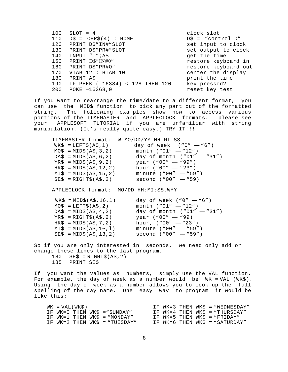| 100 | $SLOT = 4$                      | clock slot            |
|-----|---------------------------------|-----------------------|
| 110 | $DS = CHR\$ (4) : HOME          | $D\$ = "control $D''$ |
| 120 | PRINT D\$"IN#"SLOT              | set input to clock    |
| 130 | PRINT D\$"PR#"SLOT              | set output to clock   |
| 140 | INPUT ":";A\$                   | get the time          |
| 150 | PRINT D\$"IN#0"                 | restore keyboard in   |
| 160 | PRINT D\$"PR#O"                 | restore keyboard out  |
| 170 | VTAB 12 : HTAB 10               | center the display    |
| 180 | PRINT A\$                       | print the time        |
| 190 | IF PEEK (-16384) < 128 THEN 120 | key pressed?          |
| 200 | $POKE$ $-16368,0$               | reset key test        |

If you want to rearrange the time/date to a different format, you can use the MID\$ function to pick any part out of the formatted string. The following examples show how to access various portions of the TIMEMASTER and APPLECLOCK formats. please see your APPLESOFT TUTORIAL if you are unfamiliar with string manipulation. (It's really quite easy.) TRY IT!!!

|                                      | TIMEMASTER format: W MO/DD/YY HH.MI.SS |
|--------------------------------------|----------------------------------------|
| $WK\$ = LEFT $\zeta$ (A $\zeta$ , 1) | day of week $("0" - "6")$              |
| $MO\$ = MID $\frac{1}{2}(A\$ , 3, 2) | month $("01" - "12")$                  |
| $DA$ = MID$ (A$, 6, 2)$              | day of month $("01" - "31")$           |
| $YR\$ = MID $\$ (A $\$ , 9, 2)       | year $("00" - "99")$                   |
| $HR$ = MID$ (A$, 12, 2)$             | hour $("00" - "23")$                   |
| $MIS = MID\$ 3A\, 15, 2)             | minute ("00" - "59")                   |
| $SE$ = RIGHT$ (A$, 2)$               | $second('00'' - 59)$                   |

APPLECLOCK format: MO/DD HH:MI:SS.WYY

| $WK\$ = MID\$ (A\$, 16, 1)           | day of week $("0" - "6")$    |
|--------------------------------------|------------------------------|
| $MO\$ = LEFT $\zeta$ (A $\zeta$ , 2) | month $("01" - "12")$        |
| $DA$ = MID$ (A$, 4, 2)$              | day of month $("01" - "31")$ |
| $YR\$ = RIGHT\$(A\$, 2)              | year $("00" - "99)$          |
| $HR\$ = MID\$ (A\$, 7, 2)            | hour, $("00" - "23")$        |
| $MIS = MID\$(A$, 1-, 1)$             | minute $("00" - "59")$       |
| $SE$ = MID$ (A$, 13, 2)$             | second $("00" - "59")$       |

So if you are only interested in seconds, we need only add or change these lines to the last program.  $180$  SE\$ = RIGHT\$(A\$, 2) 185 PRINT SE\$

If you want the values as numbers, simply use the VAL function. For example, the day of week as a number would be WK = VAL (WK\$). Using the day of week as a number allows you to look up the full spelling of the day name. One easy way to program it would be like this:

| $WK = VAL(WK$)$                 |  |  | IF $WK=3$ THEN $WKS = WREDNESDAY''$ |
|---------------------------------|--|--|-------------------------------------|
| IF WK=O THEN WK\$ = "SUNDAY"    |  |  | IF $WK=4$ THEN $WK$ = "THURSDAY"$   |
| IF $WK=1$ THEN $WK$ = "MONDAY"$ |  |  | IF WK=5 THEN WK\$ = "FRIDAY"        |
| IF $WK=2$ THEN WKS = "TUESDAY"  |  |  | IF $WK=6$ THEN $WKS = "SATURDAY"$   |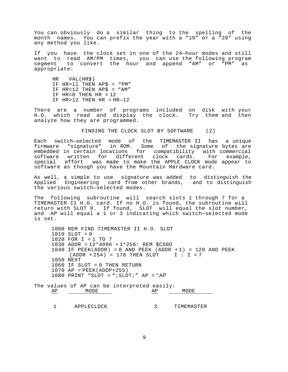<span id="page-9-0"></span>You can obviously do a similar thing to the spelling of the month names. You can prefix the year with a "19" or a "20" using any method you like.

If you have the clock set in one of the 24—hour modes and still want to read AM/PM times, you can use the following program segment to convert the hour and append "AM" or "PM" as appropriate:

HR VAL(HR\$) IF HR>ll THEN AP\$ = "PM" IF HR<12 THEN AP\$ =  $``AM"$ IF  $HR=0$  THEN  $HR = 12$ IF  $HR > 12$  THEN  $HR = HR - 12$ 

There are a number of programs included on disk with your H.O. which read and display the clock. Try them and then analyze how they are programmed.

FINDING THE CLOCK SLOT BY SOFTWARE (2)

Each switch—selected mode of the TIMEMASTER II has a unique firmware "signature" in ROM. Some of the signature bytes are embedded in certain locations for compatibility with commercial software written for different clock cards. For example, special effort was made to make the APPLE CLOCK mode appear to software as though you have the Mountain Hardware card.

As well, a simple to use signature was added to distinguish the Applied Engineering card from other brands, and to distinguish the various switch—selected modes.

The following subroutine will search slots 1 through 7 for a TIMEMASTER II H.O. card. If no H.O. is found, the subroutine will return with SLOT 0. If found, SLOT will equal the slot number, and AP will equal a 1 or 3 indicating which switch—selected mode is set.

1000 REM FIND TIMEMASTER II H.O. SLOT 1010 SLOT = 0 1020 FOR I = 1 TO 7 1030 ADDR = 12\*4096 + 1\*256: REM \$CS0O 1040 IF PEEK(ADDR) = 8 AND PEEK (ADDR  $+1$ ) = 120 AND PEEK  $(ADDR + 254) = 178$  THEN SLOT  $I : I = 7$ 1050 NEXT  $1060$  IF SLOT = 0 THEN RETURN  $1070$  AP = PEEK(ADDP+255) 1080 PRINT "SLOT = "; SLOT; "  $AP =$ "; AP

The values of AP can be interpreted easily: AP MODE MODE AP MODE

1 APPLECLOCK 3 TIMEMASTER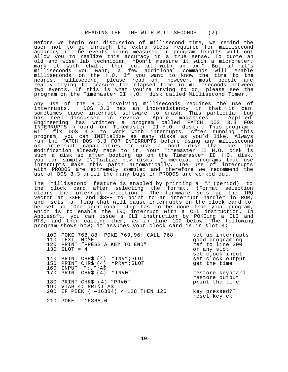<span id="page-10-0"></span>Before we begin our discussion of millisecond time, we remind the user not to go through the extra steps required for millisecond accuracy if the events being measured or program lengths will not allow you to realize this accuracy in a true sense. To quote an old and wise lab technician, "Don't measure it with a micrometer, mark it with chalk, then cut it with an ax." But if it's milliseconds you want, a few additional commands will enable milliseconds on the H.O. If you want to know the time to the nearest millisecond, please read on; however, most people are really trying to measure the elapsed time in milliseconds between two events. If this is what you're trying to do, please see the program on the Timemaster II H.O. disk called Millisecond Timer.

Any use of the H.O. involving milliseconds requires the use of interrupts. DOS 3.3 has an inconsistency in that it can sometimes cause interrupt software to crash. This particular bug has been discussed in several Apple magazines. Applied Engineering has written a program called PATCH DOS 3.3 FOR INTERRUPTS (found on Timemaster II H.O. disk) . This program will fix DOS 3.3 to work with interrupts. After running this program, you can INITialize as many disks as you'd like. Always run the PATCH DOS 3.3 FOR INTERRUPTS before using any millisecond or interrupt capabilities or use a boot disk that has the modification already made to it. Your Timemaster II H.O. disk is such a disk so after booting up on the Timemaster II H.O. disk, you can simply INITialize new disks. Commercial programs that use interrupts make this patch automatically. The use of interrupts with PRODOS are extremely complex and therefore we recommend the use of DOS 3.3 until the many bugs in PRODOS are worked out.

The millisecond feature is enabled by printing a "." (period) to the clock card after selecting the format. (Format selection clears the interrupt selection.) The firmware sets up the IRQ vector at \$3FE and \$3FF to point to an interrupt handler in ROM, and sets a flag that will cause interrupts on the clock card to be set up. One additional step has to be done from your program, which is to enable the IRQ interrupt with a CLI instruction. In Applesoft, you can issue a CLI instruction by POKEing a CLI and RTS, and then calling them, as in line 100 below. The following program shows how; it assumes your clock card is in slot 4:

| 100 POKE 768,88: POKE 769,96: CALL 768<br>110 TEXT: HOME                                   | set up interrupts<br>good programing              |
|--------------------------------------------------------------------------------------------|---------------------------------------------------|
| 120 PRINT "PRESS A KEY TO END"<br>$130$ SLOT = 4                                           | ref to line 200<br>or any slot<br>set clock input |
| 140 PRINT CHR\$ (4) "IN#"; SLOT<br>150 PRINT CHR\$ (4) "PR#"; SLOT<br>160 INPUT ":. "; A\$ | set clock output<br>get the time                  |
| 170 PRINT CHR\$ (4) "IN#0"                                                                 | restore keyboard<br>restore output                |
| 180 PRINT CHR\$ (4) "PR#0"<br>190 VTAB 4: PRINT A\$                                        | print the time                                    |
| 200 IF PEEK $(-16384) < 128$ THEN 120                                                      | key pressed??<br>reset key ck.                    |
| 210 POKE $-16368,0$                                                                        |                                                   |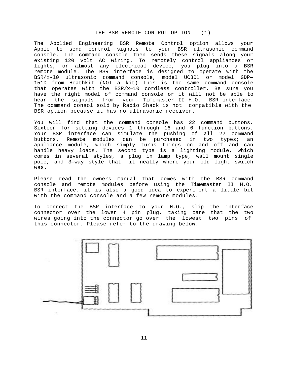# THE BSR REMOTE CONTROL OPTION (1)

<span id="page-11-0"></span>The Applied Engineering BSR Remote Control option allows your Apple to send control signals to your BSR ultrasonic command console. The command console then sends these signals along your existing 120 volt AC wiring. To remotely control appliances or lights, or almost any electrical device, you plug into a BSR remote module. The BSR interface is designed to operate with the BSR/x-l0 ultrasonic command console, model UC30l or model GDP— 1510 from Heathkit (NOT a kit) This is the same command console that operates with the BSR/x—10 cordless controller. Be sure you have the right model of command console or it will not be able to hear the signals from your Timemaster II H.O. BSR interface. The command consol sold by Radio Shack is not compatible with the BSR option because it has no ultrasonic receiver.

You will find that the command console has 22 command buttons. Sixteen for setting devices 1 through 16 and 6 function buttons. Your BSR interface can simulate the pushing of all 22 command buttons. Remote modules can be purchased in two types; an appliance module, which simply turns things on and off and can handle heavy loads. The second type is a lighting module, which comes in several styles, a plug in lamp type, wall mount single pole, and 3—way style that fit neatly where your old light switch was.

Please read the owners manual that comes with the BSR command console and remote modules before using the Timemaster II H.O. BSR interface. it is also a good idea to experiment a little bit with the command console and a few remote modules.

To connect the BSR interface to your H.O., slip the interface connector over the lower 4 pin plug, taking care that the two wires going into the connector go over the lowest two pins of this connector. Please refer to the drawing below.

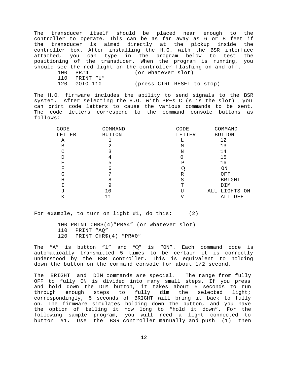The transducer itself should be placed near enough to the controller to operate. This can be as far away as 6 or 8 feet if the transducer is aimed directly at the pickup inside the controller box. After installing the H.O. with the BSR interface attached, you can type in the program below to test the positioning of the transducer. When the program is running, you should see the red light on the controller flashing on and off.

- 100 PR#4 (or whatever slot)
- 110 PRINT "U"
- 120 GOTO 110 (press CTRL RESET to stop)

The H.O. firmware includes the ability to send signals to the BSR system. After selecting the H.O. with PR~s C (s is the slot) , you can print code letters to cause the various commands to be sent. The code letters correspond to the command console buttons as follows:

| COMMAND       | CODE   | COMMAND       |
|---------------|--------|---------------|
| <b>BUTTON</b> | LETTER | <b>BUTTON</b> |
|               | ι,     | 12            |
| 2             | M      | 13            |
| 3             | N      | 14            |
| 4             | 0      | 15            |
| 5             | Ρ      | 16            |
| 6             |        | ON            |
| ⇁             | R      | OFF           |
| 8             | S      | <b>BRIGHT</b> |
| 9             | т      | DIM           |
| 10            | TT     | ALL LIGHTS ON |
| 11            |        | ALL OFF       |
|               |        |               |

For example, to turn on light #1, do this: (2)

100 PRINT CHR\$(4)"PR#4" (or whatever slot) 110 PRINT "AQ" 120 PRINT CHR\$(4) "PR#0"

The  $NA''$  is button  $M''$  and "Q" is "ON". Each command code is automatically transmitted 5 times to be certain it is correctly understood by the BSR controller. This is equivalent to holding down the button on the command console for about 1/2 second.

The BRIGHT and DIM commands are special. The range from fully OFF to fully ON is divided into many small steps. If you press and hold down the DIM button, it takes about 5 seconds to run through enough steps to fully dim the selected light; correspondingly, 5 seconds of BRIGHT will bring it back to fully on. The firmware simulates holding down the button, and you have the option of telling it how long to "hold it down". For the following sample program, you will need a light connected to button #1. Use the BSR controller manually and push (1) then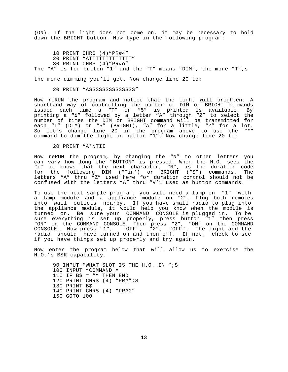(ON). If the light does not come on, it may be necessary to hold down the BRIGHT button. Now type in the following program:

10 PRINT CHR\$ (4)"PR#4" 20 PRINT "ATTTTTTTTTTTTT" 30 PRINT CHR\$ (4)"PR#o" The "A" is for button "1" and the "T" means "DIM", the more "T", s

the more dimming you'll get. Now change line 20 to:

20 PRINT "ASSSSSSSSSSSSSS"

Now reRUN the program and notice that the light will brighten. A shorthand way of controlling the number of DIM or BRIGHT commands issued each time a "T" or "5" is printed is available. By printing a **"i"** followed by a letter "A" through "Z" to select the number of times the DIM or BRIGHT command will be transmitted for each "T" (DIM) or "5" (BRIGHT), "A" for a little, "Z" for a lot. So let's change line 20 in the program above to use the "\*" command to dim the light on button "1". Now change line 20 to:

20 PRINT "A\*NTII

Now reRUN the program, by changing the "N" to other letters you can vary how long the "BUTTON" is pressed. When the H.O. sees the "i" it knows that the next character, "N", is the duration code for the following DIM ("Tin') or BRIGHT ("S") commands. The letters "A" thru "Z" used here for duration control should not be confused with the letters "A" thru "V'1 used as button commands.

To use the next sample program, you will need a lamp on "1" with a lamp module and a appliance module on "2". Plug both remotes into wall outlets nearby. If you have small radio to plug into the appliance module, it would help you know when the module is turned on. Be sure your COMMAND CONSOLE is plugged in. To be sure everything is set up properly, press button "1" then press "ON" on the COMMAND CONSOLE. Then press "2", "ON" on the COMMAND CONSOLE. Now press "1", "OFF", "2", "OFF". The light and the radio should have turned on and then off. If not, check to see if you have things set up properly and try again.

Now enter the program below that will allow us to exercise the H.O.'s BSR capability.

90 INPUT "WHAT SLOT IS THE H.O. IN ";S 100 INPUT "COMMAND = 110 IF  $B\$  = "" THEN END 120 PRINT CHR\$ (4) "PR#";S 130 PRINT B\$ 140 PRINT CHR\$ (4) "PR#0" 150 GOTO 100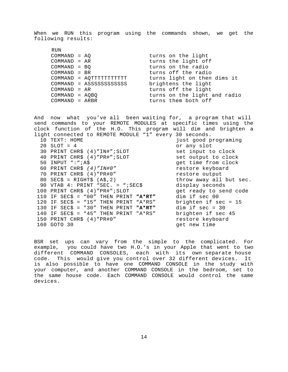When we RUN this program using the commands shown, we get the following results:

| RUN              |                          |                              |
|------------------|--------------------------|------------------------------|
| $COMMAND = AO$   |                          | turns on the light           |
| $COMMAND = AR$   |                          | turns the light off          |
| $COMMAND = BO$   |                          | turns on the radio           |
| $COMMAND = BR$   |                          | turns off the radio          |
|                  | COMMAND = AQTTTTTTTTTTT  | turns light on then dims it  |
|                  | COMMAND = ASSSSSSSSSSSSS | brightens the light          |
| $COMMAND = AR$   |                          | turns off the light          |
| $COMMAND = AOBO$ |                          | turns on the light and radio |
| $COMMAND = ARBR$ |                          | turns them both off          |

And now what you've all been waiting for, a program that will send commands to your REMOTE MODULES at specific times using the clock function of the H.O. This program will dim and brighten a light connected to REMOTE MODULE "1" every 30 seconds. 10 TEXT: HOME 10 TEXT: HOME 10 TEXT: HOME 10 TEXT: 10 TEXT: 10 TEXT: 10 TEXT: 10 TEXT: 10 TEXT: 10 TEXT: 10 TEXT: 10 TEXT: 10 TEXT: 10 TEXT: 10 TEXT: 10 TEXT: 10 TEXT: 10 TEXT: 10 TEXT: 10 TEXT: 10 TEXT: 10 TEXT: 10 TEXT: or any slot 30 PRINT CHR\$ (4)"IN#";SLOT set input to clock 40 PRINT CHR\$ (4) "PR#"; SLOT set output to clock<br>50 INPUT ": "; A\$ set fime from clock get time from clock 60 PRINT CHR\$ *(4)"IN#0"* restore keyboard 70 PRINT CHR\$ (4)"PR#0" restore output 80 SEC\$ = RIGHT\$ (A\$,2) throw away all but sec. 90 VTAB 4: PRINT "SEC. = ";SEC\$ display seconds<br>00 PRINT CHR\$ (4)"PR#";SLOT 9et ready to send code 100 PRINT CHR\$ (4)"PR#";SLOT get ready to send code 110 IF SEC\$ =  $"00"$  THEN PRINT  $"A*RT"$ 120 IF SEC\$ = "15" THEN PRINT "A\*RS" brighten if sec = 15 130 IF SEC\$ = "30" THEN PRINT **"A\*RT"** dim if sec = 30 140 IF SEC\$ = "45" THEN PRINT "A\*RS" brighten if sec 45 150 PRINT CHR\$ (4)"PR#0" restore keyboard 160 GOTO 30 get new time

BSR set ups can vary from the simple to the complicated. For example, you could have two H.O.'s in your Apple that went to two different COMMAND CONSOLES, each with its own separate house code. This would give you control over 32 different devices. It is also possible to have one COMMAND CONSOLE in the study with your computer, and another COMMAND CONSOLE in the bedroom, set to the same house code. Each COMMAND CONSOLE would control the same devices.

14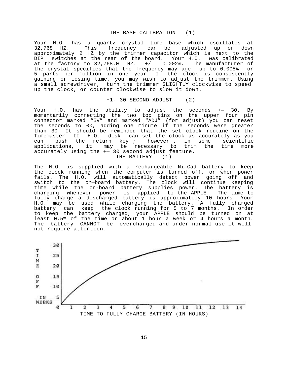#### TIME BASE CALIBRATION (1)

<span id="page-15-0"></span>Your H.O. has a quartz crystal time base which oscillates at This frequency can be adjusted up or down approximately 2 HZ by the trimmer capacitor which is next to the DIP switches at the rear of the board. Your H.O. was calibrated at the factory to  $32,768.0$  HZ.  $+/-$  0.002%. The manufacturer of the crystal specifies that the frequency may age up to 0.005% or 5 parts per million in one year. If the clock is consistently gaining or losing time, you may wish to adjust the trimmer. Using a small screwdriver, turn the trimmer SLIGHTLY clockwise to speed up the clock, or counter clockwise to slow it down.

+1- 30 SECOND ADJUST (2)

Your H.O. has the ability to adjust the seconds +— 30. By momentarily connecting the two top pins on the upper four pin connector marked "5V" and marked "ADJ" (for adjust) you can reset the seconds to 00, adding one minute if the seconds were greater than 30. It should be reminded that the set clock routine on the Timemaster II H.O. disk can set the clock as accurately as you can push the return key ; however , in some scientific applications, it may be necessary to trim the time more accurately using the +— 30 second adjust feature. THE BATTERY (1)

The H.O. is supplied with a rechargeable Ni—Cad battery to keep the clock running when the computer is turned off, or when power fails. The H.O. will automatically detect power going off and switch to the on—board battery. The clock will continue keeping time while the on-board battery supplies power. The battery is charging whenever power is applied to the APPLE. The time to fully charge a discharged battery is approximately 10 hours. Your H.O. may be used while charging the battery. A fully charged battery can keep the clock running for 5 to 7 months. In order to keep the battery charged, your APPLE should be turned on at least 0.5% of the time or about 1 hour a week or 4 hours a month. The battery CANNOT be overcharged and under normal use it will not require attention.

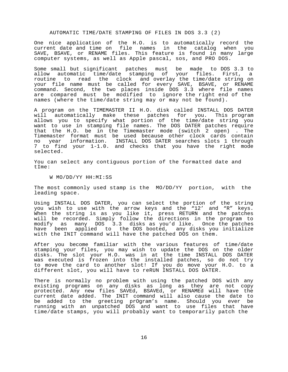#### AUTOMATIC TIME/DATE STAMPING OF FILES IN DOS 3.3 (2)

<span id="page-16-0"></span>One nice application of the H.O. is to automatically record the current date and time on file names in the catalog when you SAVE, BSAVE, or RENAME files. This feature is found in many large computer systems, as well as Apple pascal, sos, and PRO DOS.

Some small but significant patches must be made to DOS 3.3 to allow automatic time/date stamping of your files. First, a routine to read the clock and overlay the time/date string on your file name must be called for every SAVE, BSAVE, or RENAME command. Second, the two places inside DOS 3.3 where file names are compared must be modified to ignore the right end of the names (where the time/date string may or may not be found).

A program on the TIMEMASTER II H.O. disk called INSTALL DOS DATER will automatically make these patches for you. This program allows you to specify what portion of the time/date string you want to use in stamping file names. The DOS DATER patches require that the H.O. be in the Timemaster mode (switch 2 open) . The Timemaster format must be used because other clock cards contain no year information. INSTALL DOS DATER searches slots 1 through 7 to find your 1-1.0. and checks that you have the right mode selected.

You can select any contiguous portion of the formatted date and tIme:

W MO/DD/YY HH:MI:SS

The most commonly used stamp is the MO/DD/YY portion, with the leading space.

Using INSTALL DOS DATER, you can select the portion of the string you wish to use with the arrow keys and the "12' and "R" keys. When the string is as you like it, press RETURN and the patches will be recorded. Simply follow the directions in the program to modify as many DOS 3.3 disks as you'd like. Once the patches have been applied to the DOS booted, any disks you initialize with the INIT command will have the patched DOS on them.

After you become familiar with the various features of time/date stamping your files, you may wish to update the DOS on the older disks. The slot your H.O. was in at the time INSTALL DOS DATER was executed is frozen into the installed patches, so do not try to move the card to another slot! If you do move your H.O. to a different slot, you will have to reRUN INSTALL DOS DATER.

There is normally no problem with using the patched DOS with any existing programs on any disks as long as they are not copy protected. Any new files SAVEd, BSAVEd, or RENAMEd will have the current date added. The INIT command will also cause the date to be added to the greeting prOgram's name. Should you ever be running with an unpatched DOS and want to use files that have time/date stamps, you will probably want to temporarily patch the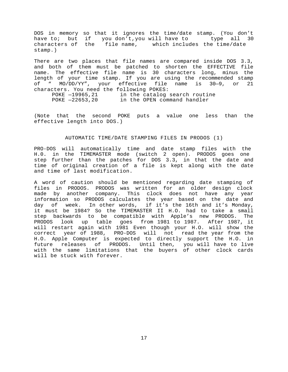<span id="page-17-0"></span>DOS in memory so that it ignores the time/date stamp. (You don't have to; but if you don't, you will have to type all 30 characters of the file name, which includes the time/date stamp.)

There are two places that file names are compared inside DOS 3.3, and both of them must be patched to shorten the EFFECTIVE file name. The effective file name is 30 characters long, minus the length of your time stamp. If you are using the recommended stamp of " MO/DD/YY", your effective file name is 30—9, or 21 characters. You need the following POKES: POKE —19965,21 in the catalog search routine

POKE —22653,20 in the OPEN command handler

(Note that the second POKE puts a value one less than the effective length into DOS.)

## AUTOMATIC TIME/DATE STAMPING FILES IN PRODOS (1)

PRO-DOS will automatically time and date stamp files with the H.0. in the TIMEMASTER mode (switch 2 open). PRODOS goes one step further than the patches for DOS 3.3, in that the date and time of original creation of a file is kept along with the date and time of last modification.

A word of caution should be mentioned regarding date stamping of files in PRODOS. PRODOS was written for an older design clock made by another company. This clock does not have any year information so PRODOS calculates the year based on the date and day of week. In other words, if it's the 16th and it's Monday, it must be 1984? So the TIMEMASTER II H.O. had to take a small step backwards to be compatible with Apple's new PRODOS. The PRODOS look up table goes from 1981 to 1987. After 1987, it will restart again with 1981 Even though your H.O. will show the correct year of 1988, PRO-DOS will not read the year from the H.O. Apple Computer is expected to directly support the H.O. in future releases of PRODOS. Until then, you will have to live with the same limitations that the buyers of other clock cards will be stuck with forever.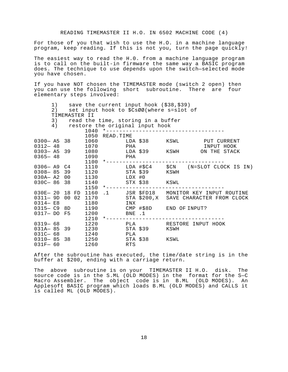<span id="page-18-0"></span>For those of you that wish to use the H.O. in a machine language program, keep reading. If this is not you, turn the page quickly!

The easiest way to read the H.0. from a machine language program is to call on the built-in firmware the same way a BASIC program does. The technique to use depends upon the switch—selected mode you have chosen.

If you have NOT chosen the TIMEMASTER mode (switch 2 open) then you can use the following short subroutine. There are four elementary steps involved:

1) save the current input hook (\$38,\$39) 2) set input hook to \$CsØØ(where s=slot of TIMEMASTER II 3) read the time, storing in a buffer 4) restore the original input hook 1040 \*------------------------------------ 1050 READ.TIME 0300— A5 38 1060 LDA \$38 KSWL PUT CURRENT 0312 – 48 1070 PHA PHA INPUT HOOK 0303— A5 39 1080 LDA \$39 KSWH ON THE STACK  $0312 - 48$ <br>  $0303 - A5$ <br>  $0365 - 48$ <br>  $0365 - 48$ <br>  $1090$ <br>
PHA 1100 \*------------------------------------ 0306— A9 C4 1110 LDA #\$C4 \$CN (N=SLOT CLOCK IS IN) 0308— 85 39 1120 STA \$39 KSWH 030A— A2 00 1130 LDX #0 030C- 86 38 1140 STX \$38 KSWL 1150 \*------------------------------------ 030E— 20 18 FD 1160 .1 JSR \$FD18 MONITOR KEY INPUT ROUTINE

| 0311-9D 00 02 1170         |  |              |                 |                | STA \$200, X SAVE CHARACTER FROM CLOCK |
|----------------------------|--|--------------|-----------------|----------------|----------------------------------------|
| 0314- E8<br>$0315 - C9 8D$ |  | 1180<br>1190 | INX             |                | CMP #\$8D END OF INPUT?                |
| 0317- DO F5                |  | 1200<br>1210 | BNE .1          |                | *--------------------------------      |
| 0319- 68                   |  | 1220         |                 | PLA <b>PLA</b> | RESTORE INPUT HOOK                     |
| $031A - 85$ 39             |  | 1230         |                 | STA \$39       | KSWH                                   |
| 031C- 68<br>$0310 - 85$ 38 |  | 1240<br>1250 | PLA<br>STA \$38 |                | KSWL                                   |
| $031F - 60$                |  | 1260         | <b>RTS</b>      |                |                                        |

After the subroutine has executed, the time/date string is in the buffer at \$200, ending with a carriage return.

The above subroutine is on your TIMEMASTER II H.O. disk. The source code is in the S.ML (OLD MODES) in the format for the S—C Macro Assembler. The object code is in B.ML (OLD MODES). An Applesoft BASIC program which loads B.ML (OLD MODES) and CALLS it is called ML (OLD MODES).

18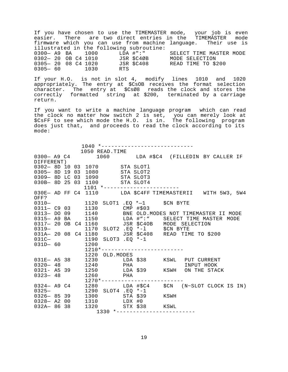If you have chosen to use the TIMEMASTER mode, your job is even easier. There are two direct entries in the TIMEMASTER mode firmware which you can use from machine language. Their use is illustrated in the following subroutine: 0300— A9 BA 1000 LDA #":" SELECT TIME MASTER MODE 0302— 20 OB C4 1010 JSR \$C4ØB MODE SELECTION 0302- 20 OB C4 1010 JSR \$C4ØB MODE SELECTION 0305— 20 08 C4 1020 JSR \$C408 READ TIME TO \$200 0305— 60 1030 RTS

If your H.O. is not in slot 4, modify lines 1010 and 1020 appropriately. The entry at \$CsOB receives the format selection character. The entry at \$CsØ8 reads the clock and stores the correctly formatted string at \$200, terminated by a carriage return.

If you want to write a machine language program which can read the clock no matter how switch 2 is set, you can merely look at \$CsFF to see which mode the H.O. is in. The following program does just that, and proceeds to read the clock according to its mode:

|                   |  |  | 1040 *----------------------------                                        |  |  |                                                                                                                           |  |  |
|-------------------|--|--|---------------------------------------------------------------------------|--|--|---------------------------------------------------------------------------------------------------------------------------|--|--|
|                   |  |  | 1050 READ. TIME                                                           |  |  |                                                                                                                           |  |  |
|                   |  |  |                                                                           |  |  | 0300- A9 C4 1060 LDA #\$C4 (FILLEDIN BY CALLER IF                                                                         |  |  |
| DIFFERENT)        |  |  |                                                                           |  |  |                                                                                                                           |  |  |
|                   |  |  | 0302- 8D 10 03 1070 STA SLOT1                                             |  |  |                                                                                                                           |  |  |
| $0305 - 8D 19 03$ |  |  | 1080 STA SLOT2                                                            |  |  |                                                                                                                           |  |  |
|                   |  |  | 0309-8D LC 03 1090 STA SLOT3                                              |  |  |                                                                                                                           |  |  |
|                   |  |  | 030B- 8D 25 03 1100 STA SLOT4                                             |  |  |                                                                                                                           |  |  |
|                   |  |  | $1101$ *---------------                                                   |  |  |                                                                                                                           |  |  |
|                   |  |  |                                                                           |  |  | 030E- AD FF C4 1110 LDA \$C4FF TIMEMASTERII WITH 5W3, 5W4                                                                 |  |  |
| OFF?              |  |  |                                                                           |  |  |                                                                                                                           |  |  |
|                   |  |  |                                                                           |  |  |                                                                                                                           |  |  |
|                   |  |  | 0310-<br>0310- 1120 SLOT1 .EQ *-1 \$CN BYTE<br>0311- C9 03 1130 CMP #\$03 |  |  |                                                                                                                           |  |  |
|                   |  |  |                                                                           |  |  | 0313- DO 09 1140 BNE OLD. MODES NOT TIMEMASTER II MODE                                                                    |  |  |
|                   |  |  |                                                                           |  |  | 0315- A9 BA 1150 LDA #":" SELECT TIME MASTER MODE<br>0317- 20 OB C4 1160 JSR \$C4OB MODE SELECTION                        |  |  |
|                   |  |  |                                                                           |  |  |                                                                                                                           |  |  |
| $0319-$           |  |  | 1170 SLOT2 .EQ $*-1$ \$CN BYTE                                            |  |  |                                                                                                                           |  |  |
|                   |  |  |                                                                           |  |  | 031A- 20 08 C4 1180<br>031C- 1190 SLOT3 .EQ *-1<br>031D- 60 1200                                                          |  |  |
|                   |  |  |                                                                           |  |  |                                                                                                                           |  |  |
|                   |  |  |                                                                           |  |  |                                                                                                                           |  |  |
|                   |  |  | -----<br>1210*--------------------------                                  |  |  |                                                                                                                           |  |  |
|                   |  |  | 1220 OLD.MODES                                                            |  |  |                                                                                                                           |  |  |
|                   |  |  |                                                                           |  |  |                                                                                                                           |  |  |
|                   |  |  |                                                                           |  |  |                                                                                                                           |  |  |
|                   |  |  |                                                                           |  |  | 031E- A5 38 1230 LDA \$38 KSWL PUT CURRENT<br>0320- 48 1240 PHA INPUT HOOK<br>0321- A5 39 1250 LDA \$39 KSWH ON THE STACK |  |  |
|                   |  |  |                                                                           |  |  |                                                                                                                           |  |  |
|                   |  |  |                                                                           |  |  |                                                                                                                           |  |  |
|                   |  |  |                                                                           |  |  | 0323-48<br>0324- A9 C4<br>1280<br>0324- A9 C4<br>1290 SLOT4 .EQ *-1<br>1290 SLOT4 .EQ *-1                                 |  |  |
|                   |  |  |                                                                           |  |  |                                                                                                                           |  |  |
|                   |  |  | 0326- 85 39 1300 STA \$39 KSWH<br>0328- A2 00 1310 LDX #0                 |  |  |                                                                                                                           |  |  |
|                   |  |  |                                                                           |  |  |                                                                                                                           |  |  |
|                   |  |  | 032A-86 38 1320 STX \$38 KSWL                                             |  |  |                                                                                                                           |  |  |
|                   |  |  | 1330 *-------------------------                                           |  |  |                                                                                                                           |  |  |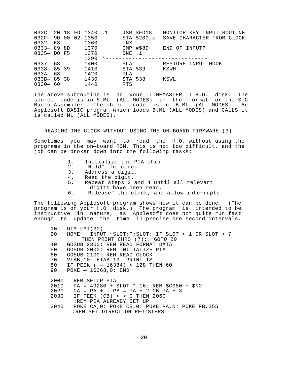<span id="page-20-0"></span>

|  |                                                                                                           |      |                                        |                                | JSR \$FD18 MONITOR KEY INPUT ROUTINE                                                                 |
|--|-----------------------------------------------------------------------------------------------------------|------|----------------------------------------|--------------------------------|------------------------------------------------------------------------------------------------------|
|  |                                                                                                           |      |                                        |                                | SAVE CHARACTER FROM CLOCK                                                                            |
|  |                                                                                                           | 1360 |                                        | INX                            |                                                                                                      |
|  |                                                                                                           |      |                                        |                                | END OF INPUT?                                                                                        |
|  |                                                                                                           |      |                                        |                                |                                                                                                      |
|  |                                                                                                           | 1390 |                                        |                                |                                                                                                      |
|  |                                                                                                           | 1400 |                                        |                                | RESTORE INPUT HOOK                                                                                   |
|  |                                                                                                           | 1410 |                                        |                                | KSWH                                                                                                 |
|  |                                                                                                           | 1420 |                                        | PLA                            |                                                                                                      |
|  |                                                                                                           | 1430 |                                        |                                | KSWL                                                                                                 |
|  |                                                                                                           | 1440 |                                        | <b>RTS</b>                     |                                                                                                      |
|  | $0332 - E8$<br>$0333 - C9 8D$<br>$0337 - 68$<br>$0338 - 8539$<br>033A— 68<br>$033B - 8538$<br>$0330 - 60$ |      | 032F-9D 00 02 1350<br>0335- DO F5 1370 | 032C- 20 18 FD 1340 .1<br>1370 | STA \$200,x<br>CMP #\$8D<br>BNE .1<br>*-------------------<br>PLA <b>PLA</b><br>STA \$39<br>STA \$38 |

The above subroutine is on your TIMEMASTER II H.O. disk. The source code is in S.ML (ALL MODES) in the format for the S—C Macro Assembler. The object code is in B.ML (ALL MODES). An Applesoft BASIC program which loads B.ML (ALL MODES) and CALLS it is called ML (ALL MODES).

### READING THE CLOCK WITHOUT USING THE ON—BOARD FIRMWARE (3)

Sometimes you may want to read the H.O. without using the programs in the on—board ROM. This is not too difficult, and the job can be broken down into the following tasks:

- 1. Initialize the PIA chip.
- 2. "Hold" the clock.
- 3. Address a digit.
- 4. Read the digit.
- 5. Repeat steps 3 and 4 until all relevant digits have been read.
- 6. "Release" the clock, and allow interrupts.

The following Applesoft program shows how it can be done. (The program is on your H.O. disk.) The program is intended to be instructive in nature, as Applesoft does not quite run fast enough to update the time in precise one second intervals.

```
10 DIM FMT(30)
20 HOME : INPUT "SLOT:";SLOT: IF SLOT < 1 OR SLOT > 7 
         THEN PRINT CHR$ (7);: GOTO 20
40 GOSUB 2300: REM READ FORMAT DATA
50 GOSUB 2000: REM INITIALIZE PIA
60 GOSUB 2100: REM READ CLOCK
70 VTAB 10: HTAB 10: PRINT T$
80 IF PEEK ( — 16384) < 128 THEN 60
90 POKE — 16368,0: END
2000 REM SETUP PIA
2010 PA = 49280 + SLOT * 16: REM $C080 + $NO
2020 CA = PA + l:PB = PA + 2:CB PA + 3
2030 IF PEEK (CB) < > 0 THEN 2060 
       :REM PIA ALREADY SET UP
2040 POKE CA,0: POKE CB,0: POKE PA,0: POKE PB,255 
       :REM SET DIRECTION REGISTERS
```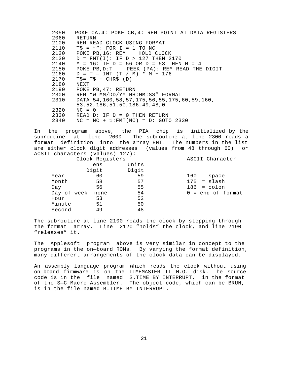2050 POKE CA,4: POKE CB,4: REM POINT AT DATA REGISTERS 2060 RETURN 2100 REM READ CLOCK USING FORMAT 2110 T\$ = "": FOR I = 1 TO NC 2120 POKE PB,16: REM HOLD CLOCK 2130 D = FMT(I): IF D > 127 THEN 2170<br>2140 M = 16: IF D = 56 OR D = 53 THEN  $M = 16$ : IF D = 56 OR D = 53 THEN M = 4 2150 POKE PB,D:T PEEK (PA): REM READ THE DIGIT 2160  $D = T - INT (T / M) * M + 176$  $2170$  T\$ = T\$ + CHR\$ (D) 2180 NEXT<br>2190 POKE 2190 POKE PB,47: RETURN<br>2300 REM "W MM/DD/YY HH REM "W MM/DD/YY HH:MM:SS" FORMAT 2310 DATA 54,160,58,57,175,56,55,175,60,59,160, 53,52,186,51,50,186,49,48,0 2320 NC = 0 2330 READ D: IF D = 0 THEN RETURN 2340 NC = NC + 1:FMT(NC) = D: GOTO 2330

In the program above, the PIA chip is initialized by the subroutine at line 2000. The subroutine at line 2300 reads a format definition into the array ENT. The numbers in the list are either clock digit addresses (values from 48 through 60) or ACSII characters (values) 127):

|             | Clock Registers |       | ASCII Character     |
|-------------|-----------------|-------|---------------------|
|             | Tens            | Units |                     |
|             | Digit           | Digit |                     |
| Year        | 60              | 59    | 160<br>space        |
| Month       | 58              | 57    | $175 = slash$       |
| Day         | 56              | 55    | $186 = colon$       |
| Day of week | none            | 54    | $0 = end of format$ |
| Hour        | 53              | 52    |                     |
| Minute      | 51              | 50    |                     |
| Second      | 49              | 48    |                     |

The subroutine at line 2100 reads the clock by stepping through the format array. Line 2120 "holds" the clock, and line 2190 "releases" it.

The Applesoft program above is very similar in concept to the programs in the on—board ROMs. By varying the format definition, many different arrangements of the clock data can be displayed.

An assembly language program which reads the clock without using on—board firmware is on the TIMEMASTER II H.O. disk. The source code is in the file named S.TIME BY INTERRUPT, in the format of the S—C Macro Assembler. The object code, which can be BRUN, is in the file named B.TIME BY INTERRUPT.

21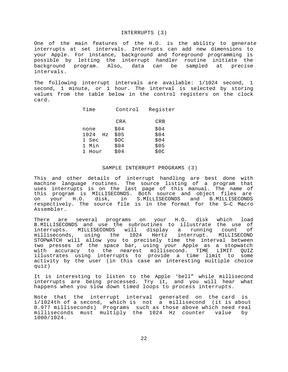#### INTERRUPTS (3)

<span id="page-22-0"></span>One of the main features of the H.O. is the ability to generate interrupts at set intervals. Interrupts can add new dimensions to your Apple. For instance, background and foreground programming is possible by letting the interrupt handler routine initiate the background program. Also, data can be sampled at precise intervals.

The following interrupt intervals are available: 1/1024 second, 1 second, 1 minute, or 1 hour. The interval is selected by storing values from the table below in the control registers on the clock card.

| Time       | Control | Register |
|------------|---------|----------|
|            | CRA     | CRB      |
| none       | \$04    | \$04     |
| 1024<br>Hz | \$05    | \$04     |
| 1 Sec      | \$OC    | \$04     |
| 1 Min      | \$04    | \$05     |
| Hour       | \$04    | \$0C     |

# SAMPLE INTERRUPT PROGRAMS (3)

This and other details of interrupt handling are best done with machine language routines. The source listing of a program that uses interrupts is on the last page of this manual. The name of this program is MILLISECONDS. Both source and object files are<br>on your H.O. disk, in S.MILLISECONDS and B.MILLISECONDS your H.O. disk, in S.MILLISECONDS and B.MILLISECONDS respectively. The source file is in the format for the S—C Macro Assembler.

There are several programs on your H.O. disk which load B.MILLISECONDS and use the subroutines to illustrate the use of interrupts. MILLISECONDS will display a running count of milliseconds, using the 1024 Hertz interrupt. MILLISECOND STOPWATCH will allow you to precisely time the interval between two presses of the space bar, using your Apple as a stopwatch with accuracy to the nearest millisecond. TIME LIMIT QUIZ illustrates using interrupts to provide a time limit to some activity by the user (in this case an interesting multiple choice quiz)

It is interesting to listen to the Apple 'bell" while millisecond interrupts are being processed. Try it, and you will hear what happens when you slow down timed loops to process interrupts.

Note that the interrupt interval generated on the card is 1/1024th of a second, which is not a millisecond (it is about 0.977 milliseconds) Programs such as those above which need real milliseconds must multiply the 1024 Hz counter value by 1000/1024.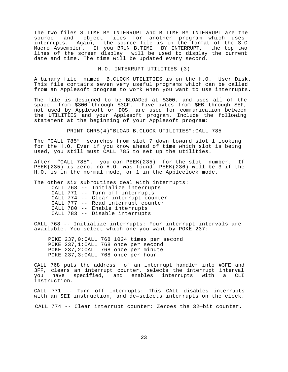The two files S.TIME BY INTERRUPT and B.TIME BY INTERRUPT are the source and object files for another program which uses interrupts. Again, the source file is in the format of the S-C Macro Assembler. If you BRUN B.TIME BY INTERRUPT, the top two lines of the screen display will be used to display the current date and time. The time will be updated every second.

## H.O. INTERRUPT UTILITIES (3)

A binary file named B.CLOCK UTILITIES is on the H.O. User Disk. This file contains seven very useful programs which can be called from an Applesoft program to work when you want to use interrupts.

The file is designed to be BLOADed at \$300, and uses all of the space from \$300 through \$3CF. Five bytes from \$EB through \$EF, not used by Applesoft or DOS, are used for communication between the UTILITIES and your Applesoft program. Include the following statement at the beginning of your Applesoft program:

PRINT CHR\$(4)"BLOAD B.CLOCK UTILITIES":CALL 785

The "CALL 785" searches from slot 7 down toward slot 1 looking for the H.O. Even if you know ahead of time which slot is being used, you still must CALL 785 to set up the utilities.

After "CALL 785", you can PEEK(235) for the slot number. If PEEK(235) is zero, no H.O. was found. PEEK(236) will be 3 if the H.O. is in the normal mode, or 1 in the Appleclock mode.

The other six subroutines deal with interrupts: CALL 768 -- Initialize interrupts CALL 771 -- Turn off interrupts CALL 774 -- Clear interrupt counter CALL 777 -- Read interrupt counter CALL 780 -- Enable interrupts CALL 783 -- Disable interrupts

CALL 768 -- Initialize interrupts: Four interrupt intervals are available. You select which one you want by POKE 237:

POKE 237,0:CALL 768 1024 times per second POKE 237,1:CALL 768 once per second POKE 237,2:CALL 768 once per minute POKE 237,3:CALL 768 once per hour

CALL 768 puts the address of an interrupt handler into #3FE and 3FF, clears an interrupt counter, selects the interrupt interval<br>you have specified, and enables interrupts with a CLI specified, and enables interrupts with a CLI instruction.

CALL 771 -- Turn off interrupts: This CALL disables interrupts with an SEI instruction, and de—selects interrupts on the clock.

CALL 774 -- Clear interrupt counter: Zeroes the 32—bit counter.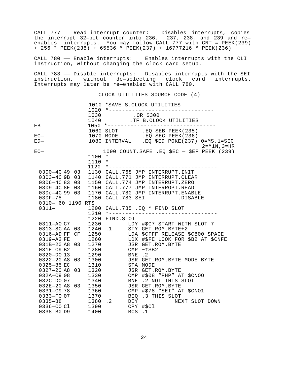CALL 777 —— Read interrupt counter: Disables interrupts, copies the interrupt 32—bit counter into 236, 237, 238, and 239 and re enables interrupts. You may follow CALL 777 with CNT = PEEK(239) + 256 \* PEEK(238) + 65536 \* PEEK(237) + 16777216 \* PEEK(236)

CALL 780 —— Enable interrupts: Enables interrupts with the CLI instruction, without changing the clock card setup.

CALL 783 —— Disable interrupts: Disables interrupts with the SEI instruction, without de—selecting clock card interrupts. Interrupts may later be re—enabled with CALL 780.

CLOCK UTILITIES SOURCE CODE (4)

|                                           | 1020 | 1010 *SAVE S.CLOCK UTILITIES<br>*---------------------------------                                                                                   |
|-------------------------------------------|------|------------------------------------------------------------------------------------------------------------------------------------------------------|
|                                           |      | 1030 . OR \$300<br>1040 .TF B.CLOCK UTILITIES                                                                                                        |
| $EB-$                                     |      | 1050 *---------------------------------                                                                                                              |
| $EC-$                                     |      | 1060 SLOT .EQ \$EB PEEK(235)<br>1070 MODE .EQ \$EC PEEK(236)                                                                                         |
| $ED-$                                     |      | 1080 INTERVAL .EQ \$ED POKE(237) 0=MS, 1=SEC                                                                                                         |
|                                           |      | 2=M1N,3=HR                                                                                                                                           |
| $_{\rm EC-}$                              |      | 1090 COUNT.SAFE .EQ \$EC - \$EF PEEK (239)                                                                                                           |
|                                           | 1100 | $^\star$                                                                                                                                             |
|                                           | 1110 | $\star$                                                                                                                                              |
|                                           | 1120 | *---------------------------------                                                                                                                   |
| 0300-4C 49 03                             |      | 1130 CALL.768 JMP INTERRUPT. INIT                                                                                                                    |
| 0303-4C 9B 03                             |      | 1140 CALL.771 JMP INTERRUPT.CLEAR                                                                                                                    |
|                                           |      | 0306-4C 83 03 1150 CALL.774 JMP INTERRUPT.ZERO                                                                                                       |
|                                           |      |                                                                                                                                                      |
|                                           |      |                                                                                                                                                      |
|                                           |      | 0309-4C 8E 03 1160 CALL.777 JMP INTERROPT.READ<br>030c-4C 99 03 1170 CALL.780 JMP INTERRUPT.ENABLE<br>030F-78 1180 CALL.783 SEI .DISABLE<br>.DISABLE |
| 0310- 60 1190 RTS                         |      |                                                                                                                                                      |
| $0311-$                                   |      | 1200 CALL.785 .EQ * FIND SLOT                                                                                                                        |
|                                           |      | $1210$ *-------                                                                                                                                      |
|                                           |      | 1220 FIND.SLOT                                                                                                                                       |
|                                           |      | 1220 FIND.SLOI<br>0311-AO C7 1230 LDY #\$C7 START WITH SLOT 7<br>0313-8C AA 03 1240 .1 STY GET.ROM.BYTE+2                                            |
|                                           |      |                                                                                                                                                      |
| 0316-AD FF CF                             | 1250 | LDA \$CFFF RELEASE \$C800 SPACE                                                                                                                      |
| 0319-A2 FE                                |      | 1260 LDX #\$FE LOOK FOR \$B2 AT \$CNFE                                                                                                               |
| 031B-20 A8 03                             |      | 1270 JSR GET.ROM.BYTE                                                                                                                                |
|                                           |      | 1280 CMP ~ t\$B2                                                                                                                                     |
| 031E-C9 B2<br>0320-DO 13<br>0322-20 A8 03 | 1290 | BNE .2                                                                                                                                               |
|                                           | 1300 | JSR GET.ROM.BYTE MODE BYTE                                                                                                                           |
| 0325-85 EC                                |      | 1310 STA MODE                                                                                                                                        |
| 0327-20 A8 03                             |      | 1320<br>JSR GET.ROM.BYTE                                                                                                                             |
| 032A-C9 08                                | 1330 | CMP #\$08 "PHP" AT \$CNOO                                                                                                                            |
|                                           | 1340 | BNE .2 NOT THIS SLOT                                                                                                                                 |
| 032C-DO 07<br>032E-20 A8 03<br>0331-C9 78 | 1350 | JSR GET.ROM.BYTE                                                                                                                                     |
|                                           | 1360 | CMP #\$78 "SEI" AT \$CNO1                                                                                                                            |
| 0333-FO 07                                |      | 1370 BEQ .3 THIS SLOT                                                                                                                                |
| $0335 - 88$                               |      | 1380.2<br>DEY<br>NEXT SLOT DOWN                                                                                                                      |
| 0336-CO Cl 1390                           |      | CPY #\$Cl                                                                                                                                            |
| 0338-B0 D9                                | 1400 | <b>BCS</b><br>$\cdot$ 1                                                                                                                              |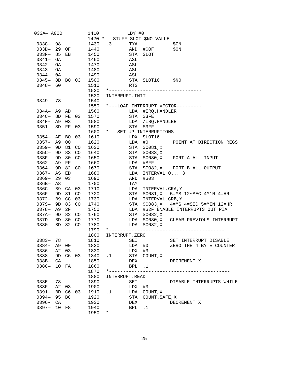| 033A- A000     |       |                |      | 1410 |                 | LDY #0 |                                        |                                           |
|----------------|-------|----------------|------|------|-----------------|--------|----------------------------------------|-------------------------------------------|
|                |       |                |      |      |                 |        | 1420 *---STUFF SLOT \$NO VALUE-------- |                                           |
| $033C - 98$    |       |                |      | 1430 | $\cdot$ 3       | TYA    |                                        | \$CN                                      |
| 033D- 29 OF    |       |                |      | 1440 |                 |        | AND #\$OF                              | \$ON                                      |
| 033F- 85 EB    |       |                |      | 1450 |                 | STA    | SLOT                                   |                                           |
| 0341- OA       |       |                |      | 1460 |                 | ASL    |                                        |                                           |
| $0342 - OA$    |       |                |      | 1470 |                 | ASL    |                                        |                                           |
| $0343 - 0A$    |       |                |      | 1480 |                 | ASL    |                                        |                                           |
| $0344 - 0A$    |       |                |      | 1490 |                 | ASL    |                                        |                                           |
| 0345-8D B0 03  |       |                |      | 1500 |                 | STA    | SLOT16 \$NO                            |                                           |
| $0348 - 60$    |       |                |      | 1510 |                 | RTS    |                                        |                                           |
|                |       |                |      | 1520 |                 |        |                                        | *---------------------------------        |
|                |       |                |      | 1530 | INTERRUPT. INIT |        |                                        |                                           |
| 0349-78        |       |                |      | 1540 |                 |        |                                        |                                           |
|                |       |                |      |      |                 |        |                                        | 1550 *---LOAD INTERRUPT VECTOR---------   |
| $034A - A9$ AD |       |                |      |      |                 | LDA    |                                        |                                           |
| 034C-8D        |       | FE 03          |      | 1560 |                 | STA    | #IRQ.HANDLER                           |                                           |
| $034F - A9$    |       | 03             |      | 1570 |                 |        | \$3FE                                  |                                           |
| 0351- 8D FF    |       |                |      | 1580 |                 |        | LDA / IRQ.HANDLER                      |                                           |
|                |       |                | - 03 | 1590 |                 | STA    | \$3FF                                  |                                           |
|                |       |                |      | 1600 |                 |        |                                        | *---SET UP INTERRUPTIONS-----------       |
| 0354— AE       |       | BO             | - 03 | 1610 |                 | LDX    | SLOT16                                 |                                           |
| $0357 - A9$    |       | 0 <sub>0</sub> |      | 1620 |                 | LDA    | #0                                     | POINT AT DIRECTION REGS                   |
| 0359-9D        |       | 81             | CO   | 1630 |                 | STA    | \$C081,x                               |                                           |
| 035C-9D        |       | 83             | CO   | 1640 |                 | STA    | \$C083,K                               |                                           |
| $03SF - 9D$    |       | 80 CO          |      | 1650 |                 | STA    |                                        | \$C080, X PORT A ALL INPUT                |
| $0362 - A9$    |       | FF             |      | 1660 |                 | LDA    | $\#$ \$FF                              |                                           |
| $0364 - 9D$    |       | 82 CO          |      | 1670 |                 | STA    |                                        | \$CO82, x PORT B ALL OUTPUT               |
| 0367- AS       |       | ED             |      | 1680 |                 | LDA    | INTERVAL 0 3                           |                                           |
| $0369 - 29$    |       | 03             |      | 1690 |                 | AND    | #\$03                                  |                                           |
| 036B—          | A8    |                |      | 1700 |                 | TAY    |                                        |                                           |
| 036C- B9 CA 03 |       |                |      | 1710 |                 | LDA    | INTERVAL.CRA, Y                        |                                           |
| 036F- 9D       |       | 81             | CO   | 1720 |                 | STA    |                                        | $$CO81$ , X $$=MS$ $12~SEC$ $4M1N$ $4=HR$ |
| $0372 - B9$    |       | CC             | 03   | 1730 |                 | LDA    | INTERVAL.CRB, Y                        |                                           |
| 037S-9D        |       | 83             | CO   | 1740 |                 | STA    | \$C083,X                               | $4 = MS$ $4 = SEC$ $5 = MIN$ $12 = HR$    |
| $0378 - A9$    |       | 2F             |      | 1750 |                 | LDA    |                                        | #\$2F ENABLE INTERRUPTS OUT PIA           |
| $037A - 9D$    |       | 82             | CO   | 1760 |                 | STA    | \$C082,K                               |                                           |
| $037D - BD$    |       | 80             | CO   | 1770 |                 | LDA    |                                        | \$C080, X CLEAR PREVIOUS INTERRUPT        |
| 0380- BD 82    |       |                | CO   | 1780 |                 | LDA    | \$C082,X                               |                                           |
|                |       |                |      | 1790 |                 |        |                                        |                                           |
|                |       |                |      | 1800 | INTERRUPT.ZERO  |        |                                        |                                           |
| $0383 -$       | 78    |                |      | 1810 |                 | SEI    |                                        | SET INTERRUPT DISABLE                     |
| $0384 - A900$  |       |                |      | 1820 |                 | LDA    | #0                                     | ZERO THE 4 BYTE COUNTER                   |
| $0386 - A2$    |       | 03             |      | 1830 |                 | LDX    | #3                                     |                                           |
| $0388 -$       | 9D C6 |                | 03   | 1840 | .1              | STA    | COUNT, X                               |                                           |
| $038B -$       | CA    |                |      | 1850 |                 | DEX    |                                        | DECREMENT X                               |
| 038C- 10 FA    |       |                |      | 1860 |                 | BPL    | $\ldots$ 1                             |                                           |
|                |       |                |      | 1870 |                 |        |                                        |                                           |
|                |       |                |      | 1880 | INTERRUPT.READ  |        |                                        |                                           |
| 038E- 78       |       |                |      | 1890 |                 | SEI    |                                        | DISABLE INTERRUPTS WHILE                  |
| $038F -$       | A2    | 03             |      | 1900 |                 | LDX    | #3                                     |                                           |
| $0391 -$       | BD    | C6             | 03   | 1910 | .1              | LDA    | COUNT, X                               |                                           |
| $0394 -$       | 95    | BC             |      | 1920 |                 | STA    | COUNT. SAFE, X                         |                                           |
| 0396-          | CA    |                |      | 1930 |                 | DEX    |                                        | DECREMENT X                               |
| $0397 -$       | 10    | F8             |      | 1940 |                 | BPL    | $\cdot$ 1                              |                                           |
|                |       |                |      | 1950 |                 |        |                                        |                                           |
|                |       |                |      |      |                 |        |                                        |                                           |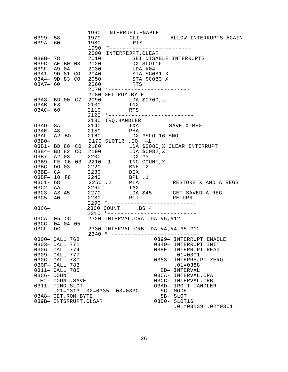| $0399 - 58$<br>$039A - 60$                                                                                                                                    |  |                 | 1970<br>1980<br>1990 | 1960 INTERRUPT.ENABLE<br>* - - - - - - - - - - -                                                                                                                                                                                                                                                                                          | RTS             | CLI ALLOW INTERRUPTS AGAIN                                                                                                        |                                                                                                                                                                                                                                |                             |  |
|---------------------------------------------------------------------------------------------------------------------------------------------------------------|--|-----------------|----------------------|-------------------------------------------------------------------------------------------------------------------------------------------------------------------------------------------------------------------------------------------------------------------------------------------------------------------------------------------|-----------------|-----------------------------------------------------------------------------------------------------------------------------------|--------------------------------------------------------------------------------------------------------------------------------------------------------------------------------------------------------------------------------|-----------------------------|--|
| $039B - 78$<br>$03A7 - 60$                                                                                                                                    |  |                 | 2060                 | 2000 INTERREJPT.CLEAR<br>2010<br>039C- AE B0 03 2020 LDX SLOT16<br>039F- A9 04 2030 LDA #04                                                                                                                                                                                                                                               | RTS             | SEI DISABLE INTERRUPTS<br>03A1-9D 81 CO 2040 STA \$C081, X<br>03A4-9D 83 CO 2050 STA \$C083, X<br>2070 *------------------------- |                                                                                                                                                                                                                                |                             |  |
| $O3AB - E8$<br>$O3AC-60$                                                                                                                                      |  |                 | 2110                 | 2080 GET.ROM.BYTE<br>03A8- BD 00 C7 2090<br>2100                                                                                                                                                                                                                                                                                          | INX<br>RTS      | LDA $$C700,x$<br>2120 *---------------------------                                                                                |                                                                                                                                                                                                                                |                             |  |
|                                                                                                                                                               |  |                 |                      | 2130 IRQ.HANDLER<br>03AD-8A 2140<br>03AE- 48 2150                                                                                                                                                                                                                                                                                         | PHA             | TXA SAVE X-REG<br>03AF- A2 BO 2160 LDX #SLOT16 \$NO                                                                               |                                                                                                                                                                                                                                |                             |  |
|                                                                                                                                                               |  |                 |                      | $\begin{array}{cccc} 03\text{B0}-&2170\text{ SLOT16}\ \text{.EQ}~{--}1\\ 03\text{B1}-&\text{BD}~80&\text{CO}&2180&\text{LDA}~\$C0\\ 03\text{B4}-&\text{BD}~82&\text{CO}&2190&\text{LDA}~\$C0 \end{array}$<br>03B7- A2 03 2200<br>03B9- FE C6 03 2210.1<br>03BC- DO 03<br>03BE- CA<br>03BE- CA<br>03BF- 10 F8<br>03C1- 68<br>2250.2<br>PLA | LDX #3          | LDA \$C080, X CLEAR INTERRUPT<br>LDA \$C082, X<br>INC COUNT, X                                                                    |                                                                                                                                                                                                                                |                             |  |
| 03C2- AA 2260                                                                                                                                                 |  |                 |                      | 03C3-8S 45 2270<br>03C5-40 2280                                                                                                                                                                                                                                                                                                           | $BPL$ .1<br>TAX | LDA \$45 GET SAVED A REG<br>RTI RETURN<br>2290 *---------------------------                                                       | RESTORE X AND A REGS                                                                                                                                                                                                           |                             |  |
| $03C6-$                                                                                                                                                       |  |                 |                      | 2300 COUNT .BS 4                                                                                                                                                                                                                                                                                                                          |                 | $2310$ *-------------------                                                                                                       |                                                                                                                                                                                                                                |                             |  |
| 03CC- 04 04 05<br>O3CF- OC                                                                                                                                    |  |                 |                      |                                                                                                                                                                                                                                                                                                                                           |                 | 03CA- 05 OC 2320 INTERVAL.CRA .DA #5, #12<br>2330 INTERVAL.CRB .DA #4, #4, #5, #12                                                |                                                                                                                                                                                                                                |                             |  |
| 0300- CALL 768<br>0303- CALL 771<br>0306- CALL 774<br>0309- CALL 777<br>030C- CALL 780<br>030F- CALL 783<br>0311- CALL 785<br>03C6- COUNT<br>0311- FIND. SLOT |  | EC- COUNT. SAVE |                      | $2340$ * ------------<br>$.01 = 0313$ . $02 = 0335$ . $03 = 033C$                                                                                                                                                                                                                                                                         |                 |                                                                                                                                   | 0399- INTERRUPT.ENABLE<br>0349- INTERRUPT.INIT<br>038E- INTERRUPT.READ<br>$.01 = 0391$<br>0383- INTERREJPT.ZERO<br>$.01 = 0388$<br>ED- INTERVAL<br>03CA- INTERVAL.CRA<br>03CC- INTERVAL.CRB<br>O3AD- IRQ.I-IANDLER<br>SC- MODE |                             |  |
| 03A8- GET.ROM.BYTE<br>039B- INTSRRUPT.CLSAR                                                                                                                   |  |                 |                      |                                                                                                                                                                                                                                                                                                                                           |                 |                                                                                                                                   | SB- SLOT<br>03B0- SLOT16                                                                                                                                                                                                       | $.01 = 03139$ . $02 = 03C1$ |  |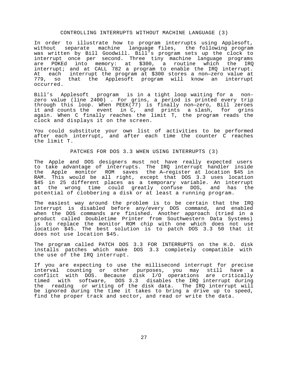#### CONTROLLING INTERRUPTS WITHOUT MACHINE LANGUAGE (3)

In order to illustrate how to program interrupts using Applesoft, without separate machine language-files, the following program was written by Bill Goodwill. Bill's program sets up the clock to interrupt once per second. Three tiny machine language programs are POKEd into memory: at \$300, a routine which the IRQ interrupt; and at CALL 782 a program to enable the IRQ interrupt. At each interrupt the program at \$300 stores a non-zero value at<br>779, so that the Applesoft program will know an interrupt that the Applesoft program will know an interrupt occurred.

Bill's Applesoft program is in a tight loop waiting for a nonzero value (line 2400) . For grins, a period is printed every trip through this loop. When PEEK(77) is finally non—zero, Bill zeroes it and counts the event in C, and prints a slash, for grins again. When C finally reaches the limit T, the program reads the clock and displays it on the screen.

You could substitute your own list of activities to be performed after each interrupt, and after each time the counter C reaches the limit T.

PATCHES FOR DOS 3.3 WHEN USING INTERRUPTS (3)

The Apple and DOS designers must not have really expected users to take advantage of interrupts. The IRQ interrupt handler inside the Apple monitor ROM saves the A—register at location \$45 in RAM. This would be all right, except that DOS 3.3 uses location \$45 in 25 different places as a temporary variable. An interrupt at the wrong time could greatly confuse DOS, and has the potential of clobbering a disk or at least a running program.

The easiest way around the problem is to be certain that the IRQ interrupt is disabled before any/every DOS command, and enabled when the DOS commands are finished. Another approach (tried in a product called Doubletime Printer from Southwestern Data Systems) is to replace the monitor ROM chip with one which does not use location \$45. The best solution is to patch DOS 3.3 50 that it does not use location \$45.

The program called PATCH DOS 3.3 FOR INTERRUPTS on the H.O. disk installs patches which make DOS 3.3 completely compatible with the use of the IRQ interrupt.

If you are expecting to use the millisecond interrupt for precise interval counting or other purposes, you may still have a conflict with DOS. Because disk I/O operations are critically timed with software, DOS 3.3 disables the IRQ interrupt during the reading or writing of the disk data. The IRQ interrupt will be ignored during the time it takes to bring a drive up to speed, find the proper track and sector, and read or write the data.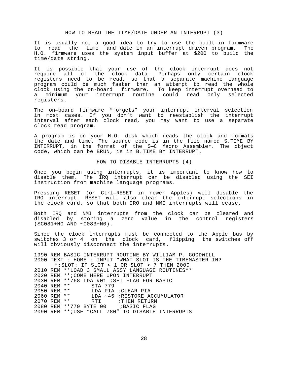#### HOW TO READ THE TIME/DATE UNDER AN INTERRUPT (3)

It is usually not a good idea to try to use the built-in firmware to read the time and date in an interrupt driven program. The H.O. firmware uses the system input buffer at \$200 to build the time/date string.

It is possible that your use of the clock interrupt does not require all of the clock data. Perhaps only certain clock registers need to be read, so that a separate machine language program could be much faster than an attempt to read the whole clock using the on-board firmware. To keep interrupt overhead to a minimum your interrupt routine could read only selected registers.

The on—board firmware "forgets" your interrupt interval selection in most cases. If you don't want to reestablish the interrupt interval after each clock read, you may want to use a separate clock read program.

A program is on your H.O. disk which reads the clock and formats the date and time. The source code is in the file named S.TIME BY INTERRUPT, in the format of the S—C Macro Assembler. The object code, which can be BRUN, is in B.TIME BY INTERRUPT.

HOW TO DISABLE INTERRUPTS (4)

Once you begin using interrupts, it is important to know how to disable them. The IRQ interrupt can be disabled using the SEI instruction from machine language programs.

Pressing RESET (or Ctrl—RESET in newer Apples) will disable the IRQ interrupt. RESET will also clear the interrupt selections in the clock card, so that both IRO and NMI interrupts will cease.

Both IRQ and NMI interrupts from the clock can be cleared and disabled by storing a zero value in the control registers (\$C081+NO AND ~C083+N0).

Since the clock interrupts must be connected to the Apple bus by switches 3 or 4 on the clock card, flipping the switches off will obviously disconnect the interrupts.

1990 REM BASIC INTERRUPT ROUTINE BY WILLIAM P. GOODWILL 2000 TEXT : HOME : INPUT "WHAT SLOT IS THE TIMEMASTER IN? ";SLOT: IF SLOT < 1 OR SLOT > 7 THEN 2000 2010 REM \*\*LOAD 3 SMALL ASSY LANGUAGE ROUTINES\*\* 2020 REM \*\*;COME HERE UPON INTERRUPT 2030 REM \*\*768 LDA #01 ;SET FLAG FOR BASIC 2040 REM \*\* STA 779 LDA PIA ;CLEAR PIA 2060 REM \*\* LDA ~45 ;RESTORE ACCUMULATOR 2070 REM \*\* RTI FIHEN RETURN 2080 REM \*\*779 BYTE 00 ;BASIC FLAG 2090 REM \*\*;USE "CALL 780" TO DISABLE INTERRUPTS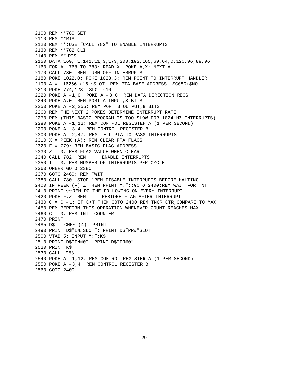```
2100 REM **780 SET
2110 REM **RTS
2120 REM **;USE "CALL 782" TO ENABLE INTERRUPTS
2130 REM **782 CLI
2140 REM ** RTS
2150 DATA 169, 1,141,11,3,173,208,192,165,69,64,0,120,96,88,96
2160 FOR A = 768 TO 783: READ X: POKE A,X: NEXT A
2170 CALL 780: REM TURN OFF INTERRUPTS
2180 POKE 1022,0: POKE 1023,3: REM POINT TO INTERRUPT HANDLER
2190 A = -16256 + 16 * SLOT: REM PTA BASE ADDRESS = $CO80+$NO2210 POKE 774,128 + SLOT * 16
2220 POKE A + 1,0: POKE A + 3,0: REM DATA DIRECTION REGS
2240 POKE A,0: REM PORT A INPUT,8 BITS
2250 POKE A +2,255: REM PORT B OUTPUT, 8 BITS
2260 REM THE NEXT 2 POKES DETERMINE INTERRUPT RATE
2270 REM (THIS BASIC PROGRAM IS TOO SLOW FOR 1024 HZ INTERRUPTS)
2280 POKE A + 1,12: REM CONTROL REGISTER A (1 PER SECOND)
2290 POKE A + 3,4: REM CONTROL REGISTER B
2300 POKE A + 2,47: REM TELL PTA TO PASS INTERRUPTS
2310 X = PEEK (A): REM CLEAR PTA FLAGS
2320 F = 779: REM BASIC FLAG ADDRESS
2330 Z = 0: REM FLAG VALUE WHEN CLEAR
2340 CALL 782: REM ENABLE INTERRUPTS
2350 T = 3: REM NUMBER OF INTERRUPTS PER CYCLE
2360 ONERR GOTO 2380
2370 GOTO 2460: REM TWIT
2380 CALL 780: STOP : REM DISABLE INTERRUPTS BEFORE HALTING
2400 IF PEEK (F) Z THEN PRINT ".";:GOTO 2400:REM WAIT FOR TNT
2410 PRINT "/";: REM DO THE FOLLOWING ON EVERY INTERRUPT
2420 POKE F,Z: REM RESTORE FLAG AFTER INTERRUPT
2430 C = C + 1: IF C<T THEN GOTO 2400 REM TNCR CTR,COMPARE TO MAX
2450 REM PERFORM THIS OPERATION WHENEVER COUNT REACHES MAX
2460 C = 0: REM INIT COUNTER
2470 PRINT
2485 D$ = CHR~ (4): PRINT
2490 PRINT D$"IN#SLOT": PRINT D$"PR#"SLOT
2500 VTAB 5: INPUT ":";K$
2510 PRINT D$"IN#0": PRINT D$"PR#0"
2520 PRINT K$
2530 CALL — 958
2540 POKE A + 1,12: REM CONTROL REGISTER A (1 PER SECOND)
2550 POKE A + 3,4: REM CONTROL REGISTER B
2560 GOTO 2400
```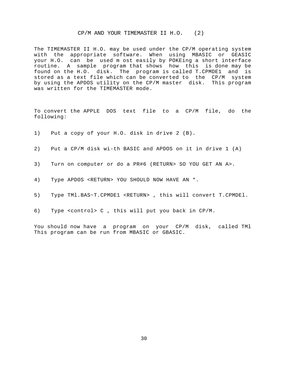## CP/M AND YOUR TIMEMASTER II H.O. (2)

<span id="page-30-0"></span>The TIMEMASTER II H.O. may be used under the CP/M operating system with the appropriate software. When using MBASIC or GEASIC your H.O. can be used m ost easily by POKEing a short interface routine. A sample program that shows how this is done may be found on the H.O. disk. The program is called T.CPMDE1 and is stored as a text file which can be converted to the CP/M system by using the APDOS utility on the CP/M master disk. This program was written for the TIMEMASTER mode.

To convert the APPLE DOS text file to a CP/M file, do the following:

- 1) Put a copy of your H.O. disk in drive 2 (B).
- 2) Put a CP/M disk wi-th BASIC and APDOS on it in drive 1 (A)
- 3) Turn on computer or do a PR#6 (RETURN> SO YOU GET AN A>.
- 4) Type APDOS <RETURN> YOU SHOULD NOW HAVE AN \*.
- 5) Type TMl.BAS~T.CPMDE1 <RETURN> , this will convert T.CPMDEl.
- 6) Type <control> C , this will put you back in CP/M.

You should now have a program on your CP/M disk, called TMl This program can be run from MBASIC or GBASIC.

30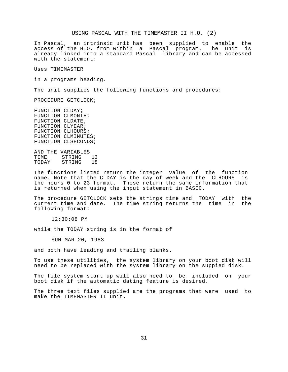#### USING PASCAL WITH THE TIMEMASTER II H.O. (2)

<span id="page-31-0"></span>In Pascal, an intrinsic unit has been supplied to enable the access of the H.O. from within a Pascal program. The unit is already linked into a standard Pascal library and can be accessed with the statement:

Uses TIMEMASTER

in a programs heading.

The unit supplies the following functions and procedures:

PROCEDURE GETCLOCK;

FUNCTION CLDAY; FUNCTION CLMONTH; FUNCTION CLDATE; FUNCTION CLYEAR; FUNCTION CLHOURS; FUNCTION CLMINUTES; FUNCTION CLSECONDS;

AND THE VARIABLES TIME STRING 13<br>TODAY STRING 18 STRING

The functions listed return the integer value of the function name. Note that the CLDAY is the day of week and the CLHOURS is the hours 0 to 23 format. These return the same information that is returned when using the input statement in BASIC.

The procedure GETCLOCK sets the strings time and TODAY with the current time and date. The time string returns the time in the following format:

12:30:08 PM

while the TODAY string is in the format of

SUN MAR 20, 1983

and both have leading and trailing blanks.

To use these utilities, the system library on your boot disk will need to be replaced with the system library on the suppied disk.

The file system start up will also need to be included on your boot disk if the automatic dating feature is desired.

The three text files supplied are the programs that were used to make the TIMEMASTER II unit.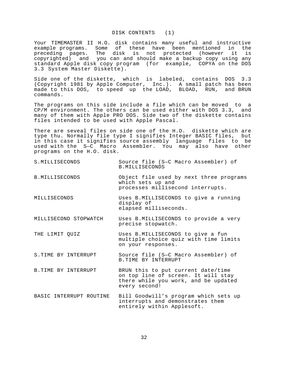# DISK CONTENTS (1)

<span id="page-32-0"></span>Your TIMEMASTER II H.O. disk contains many useful and instructive example programs. Some of these have been mentioned in the preceding pages. The disk is not protected (however it is copyrighted) and you can and should make a backup copy using any standard Apple disk copy program (for example, COPYA on the DOS 3.3 System Master Diskette).

Side one of the diskette, which is labeled, contains DOS 3.3 (Copyright 1981 by Apple Computer, Inc.). A small patch has been made to this DOS, to speed up the LOAD, BLOAD, RUN, and BRUN commands.

The programs on this side include a file which can be moved to a CP/M environment. The others can be used either with DOS 3.3, and many of them with Apple PRO DOS. Side two of the diskette contains files intended to be used with Apple Pascal.

There are seveal files on side one of the H.O. diskette which are type thu. Normally file type I signifies Integer BASIC files, but in this case it signifies source assembly language files to be used with the S—C Macro Assembler. You may also have other programs on the H.O. disk.

- S.MILLISECONDS Source file (S—C Macro Assembler) of B.MILLISECONDS
- B.MILLISECONDS Object file used by next three programs which sets up and processes millisecond interrupts.
- MILLISECONDS Uses B.MILLISECONDS to give a running display of elapsed milliseconds.
- MILLISECOND STOPWATCH Uses B.MILLISECONDS to provide a very precise stopwatch.

THE LIMIT QUIZ Uses B.MILLISECONDS to give a fun multiple choice quiz with time limits on your responses.

S.TIME BY INTERRUPT Source file (S—C Macro Assembler) of B.TIME BY INTERRUPT

- B.TIME BY INTERRUPT BRUN this to put current date/time on top line of screen. It will stay there while you work, and be updated every second!
- BASIC INTERRUPT ROUTINE Bill Goodwill's program which sets up interrupts and demonstrates them entirely within Applesoft.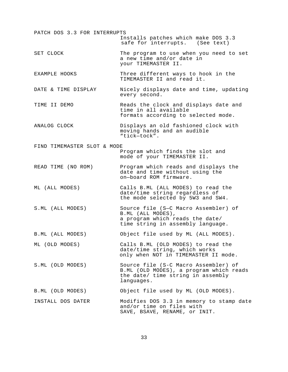| PATCH DOS 3.3 FOR INTERRUPTS | Installs patches which make DOS 3.3<br>safe for interrupts. (See text)                                                             |
|------------------------------|------------------------------------------------------------------------------------------------------------------------------------|
| SET CLOCK                    | The program to use when you need to set<br>a new time and/or date in<br>your TIMEMASTER II.                                        |
| EXAMPLE HOOKS                | Three different ways to hook in the<br>TIMEMASTER II and read it.                                                                  |
| DATE & TIME DISPLAY          | Nicely displays date and time, updating<br>every second.                                                                           |
| TIME II DEMO                 | Reads the clock and displays date and<br>time in all available<br>formats according to selected mode.                              |
| ANALOG CLOCK                 | Displays an old fashioned clock with<br>moving hands and an audible<br>"tick-tock".                                                |
| FIND TIMEMASTER SLOT & MODE  | Program which finds the slot and<br>mode of your TIMEMASTER II.                                                                    |
| READ TIME (NO ROM)           | Program which reads and displays the<br>date and time without using the<br>on-board ROM firmware.                                  |
| ML (ALL MODES)               | Calls B.ML (ALL MODES) to read the<br>date/time string regardless of<br>the mode selected by 5W3 and SW4.                          |
| S.ML (ALL MODES)             | Source file (S-C Macro Assembler) of<br>B.ML (ALL MODES),<br>a program which reads the date/<br>time string in assembly language.  |
| B.ML (ALL MODES)             | Object file used by ML (ALL MODES).                                                                                                |
| ML (OLD MODES)               | Calls B.ML (OLD MODES) to read the<br>date/time string, which works<br>only when NOT in TIMEMASTER II mode.                        |
| S.ML (OLD MODES)             | Source file (S-C Macro Assembler) of<br>B.ML (OLD MODES), a program which reads<br>the date/ time string in assembly<br>languages. |
| B.ML (OLD MODES)             | Object file used by ML (OLD MODES).                                                                                                |
| INSTALL DOS DATER            | Modifies DOS 3.3 in memory to stamp date<br>and/or time on files with<br>SAVE, BSAVE, RENAME, Or INIT.                             |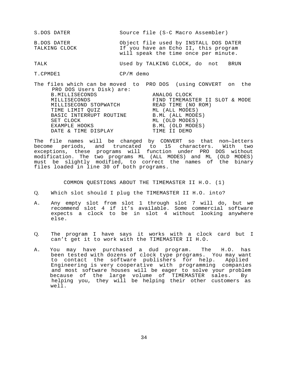<span id="page-34-0"></span>

| S.DOS DATER                  | Source file (S-C Macro Assembler)                                                                                     |
|------------------------------|-----------------------------------------------------------------------------------------------------------------------|
| B.DOS DATER<br>TALKING CLOCK | Object file used by INSTALL DOS DATER<br>If you have an Echo II, this program<br>will speak the time once per minute. |
| ΤΆΙ Κ                        | Used by TALKING CLOCK, do not<br>BRUN                                                                                 |

T.CPMDE1 CP/M demo

The files which can be moved to PRO DOS (using CONVERT on the PRO DOS Users Disk) are: B.MILLISECONDS ANALOG CLOCK ANALOG ANALOG ANALOG CLOCK FIND TIMEMASTER II SLOT & MODE MILLISECOND STOPWATCH READ TIME (NO ROM)<br>TIME LIMIT OUIZ ML (ALL MODES) TIME LIMIT OUIZ BASIC INTERRUPT ROUTINE B.ML (ALL MODES) SET CLOCK ML (OLD MODES) B.ML (OLD MODES)<br>TIME II DEMO DATE & TIME DISPLAY

The file names will be changed by CONVERT so that non—letters become periods, and truncated to 15 characters. With two exceptions, these programs will function under PRO DOS without modification. The two programs ML (ALL MODES) and ML (OLD MODES) must be slightly modified, to correct the names of the binary files loaded in line 30 of both programs.

COMMON QUESTIONS ABOUT THE TIMEMASTER II H.O. (1)

- Q. Which slot should I plug the TIMEMASTER II H.O. into?
- A. Any empty slot from slot 1 through slot 7 will do, but we recommend slot 4 if it's available. Some commercial software expects a clock to be in slot 4 without looking anywhere else.
- Q. The program I have says it works with a clock card but I can't get it to work with the TIMEMASTER II H.O.
- A. You may have purchased a dud program. The H.O. has been tested with dozens of clock type programs. You may want to contact the software publishers for help. Applied Engineering is very cooperative with programming companies and most software houses will be eager to solve your problem because of the large volume of TIMEMASTER sales. By helping you, they will be helping their other customers as well.

34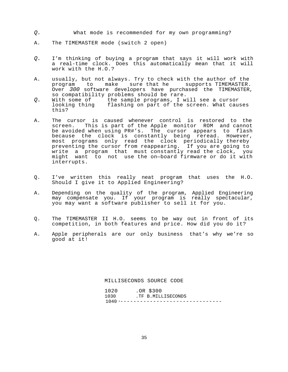- <span id="page-35-0"></span>*Q.* What mode is recommended for my own programming?
- A. The TIMEMASTER mode (switch 2 open)
- *Q.* I'm thinking of buying a program that says it will work with a real-time clock. Does this automatically mean that it will work with the H.O.?
- A. usually, but not always. Try to check with the author of the program to make sure that he supports TIMEMASTER. Over *300* software developers have purchased the TIMEMASTER, so compatibility problems should be rare.
- *Q.* With some of the sample programs, I will see a cursor flashing on part of the screen. What causes this?
- A. The cursor is caused whenever control is restored to the screen. This is part of the Apple monitor ROM and cannot be avoided when using PR#'s. The cursor appears to flash because the clock is constantly being reread. However, most programs only read the clock periodically thereby preventing the cursor from reappearing. If you are going to write a program that must constantly read the clock, you might want to not use the on—board firmware or do it with interrupts.
- Q. I've written this really neat program that uses the H.O. Should I give it to Applied Engineering?
- A. Depending on the quality of the program, Applied Engineering may compensate you. If your program is really spectacular, you may want a software publisher to sell it for you.
- Q. The TIMEMASTER II H.O. seems to be way out in front of its competition, in both features and price. How did you do it?
- A. Apple peripherals are our only business that's why we're so good at it!

MILLISECONDS SOURCE CODE

| 1020 | $.0R$ \$300                  |
|------|------------------------------|
| 1030 | .TF B.MILLISECONDS           |
|      | 1040 *---------------------- |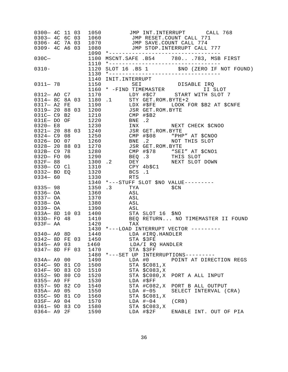| 0306- 4C 7A 03<br>0309- 4C A6 03 |            | 1080 000                      |  | 0300 - 4C 11 03 1050 JMP INT.INTERRUPT CALL 768<br>0303 - 4C 6C 03 1060 JMP RESET.COUNT CALL 771<br>1070 JMP SAVE.COUNT CALL 774<br>JMP STOP. INTERRUPT CALL 777                                                                                                                                 |                         |  |  |
|----------------------------------|------------|-------------------------------|--|--------------------------------------------------------------------------------------------------------------------------------------------------------------------------------------------------------------------------------------------------------------------------------------------------|-------------------------|--|--|
| $030C -$                         |            |                               |  | 1090 *---------------------------------<br>1100 MSCNT.SAFE .B54 780783, MSB FIRST                                                                                                                                                                                                                |                         |  |  |
| $0310 -$                         |            |                               |  |                                                                                                                                                                                                                                                                                                  |                         |  |  |
|                                  |            |                               |  | 1140 INIT.INTERRUPT<br>1140 INIT.INTERRUPT<br>SEI DISABLE IRQ<br>1150 SEI DISABLE IRQ<br>1160 * -FIND TIMEMASTER II SLOT<br>1170 LDY #\$C7 START WITH SLOT<br>0314-8C 8A 03 1180 .1 STY GET.ROM.BYTE+2<br>0317-A2 FE 1190 LDX #\$FE LOOK FOR \$                                                  |                         |  |  |
|                                  |            |                               |  |                                                                                                                                                                                                                                                                                                  |                         |  |  |
|                                  |            |                               |  |                                                                                                                                                                                                                                                                                                  |                         |  |  |
|                                  |            |                               |  |                                                                                                                                                                                                                                                                                                  |                         |  |  |
|                                  |            |                               |  |                                                                                                                                                                                                                                                                                                  |                         |  |  |
|                                  |            |                               |  |                                                                                                                                                                                                                                                                                                  |                         |  |  |
|                                  |            |                               |  | 031C- C9 B2<br>031E- DO OF 1220<br>0320- E8 1230 INX<br>0321- 20 88 03 1240 JSR GET.ROM.BYTE                                                                                                                                                                                                     |                         |  |  |
|                                  |            |                               |  |                                                                                                                                                                                                                                                                                                  |                         |  |  |
|                                  |            |                               |  | 0324 C9 08 1250 CMP #\$08 "PHP" AT \$CNOO                                                                                                                                                                                                                                                        |                         |  |  |
|                                  |            |                               |  | 0326 DO 07 1260 BNE .2 NOT THIS SLOT<br>0328-20 88 03 1270 JSR GET.ROM.BYTE                                                                                                                                                                                                                      |                         |  |  |
|                                  |            |                               |  |                                                                                                                                                                                                                                                                                                  |                         |  |  |
|                                  |            |                               |  |                                                                                                                                                                                                                                                                                                  |                         |  |  |
|                                  |            |                               |  |                                                                                                                                                                                                                                                                                                  |                         |  |  |
|                                  |            |                               |  | 032B- C9 78 1280<br>032D- F0 06 1290 BEQ 3 THIS SLOT<br>032F- 88 1300 .2 DEY NEXT SLOT DOWN<br>0330- C0 Cl 1310 CPY 4b\$C1                                                                                                                                                                       |                         |  |  |
|                                  |            |                               |  |                                                                                                                                                                                                                                                                                                  |                         |  |  |
|                                  |            |                               |  | 0332 BO EQ<br>0334 60<br>0334 60<br>0335 98<br>0335 08<br>0336 08<br>1350 3<br>1360<br>1360<br>1360<br>1360<br>1360<br>1360<br>1360<br>1360<br>1360<br>1360<br>1370<br>1380<br>1380<br>1380<br>1380<br>1380<br>1380<br>1380<br>1380<br>1380<br>1380<br>1380<br>1380<br>1380<br>1380<br>1380<br>1 |                         |  |  |
|                                  |            |                               |  |                                                                                                                                                                                                                                                                                                  |                         |  |  |
|                                  |            |                               |  |                                                                                                                                                                                                                                                                                                  |                         |  |  |
|                                  |            | 0337-0A 1370 ASL              |  |                                                                                                                                                                                                                                                                                                  |                         |  |  |
|                                  |            | 0338-0A 1380 ASL              |  |                                                                                                                                                                                                                                                                                                  |                         |  |  |
|                                  |            | 0339 OA 1390 ASL              |  |                                                                                                                                                                                                                                                                                                  |                         |  |  |
|                                  |            |                               |  |                                                                                                                                                                                                                                                                                                  |                         |  |  |
|                                  |            |                               |  | 033A-8D 10 03 1400<br>033D- FO 48 1410 BEQ RETURN NO TIMEMASTER II FOUND<br>033F- AA 1420 1420 TAX                                                                                                                                                                                               |                         |  |  |
|                                  |            |                               |  | 1430 *---LOAD INTERRUPT VECTOR ---------                                                                                                                                                                                                                                                         |                         |  |  |
|                                  |            |                               |  | 0340 - A9 8D $1440$ LDA #IRQ.HANDLER                                                                                                                                                                                                                                                             |                         |  |  |
|                                  |            | 0342- 8D FE 03 1450 STA \$3FE |  |                                                                                                                                                                                                                                                                                                  |                         |  |  |
| $0345 - A9$ 03                   |            | 1460                          |  | LDA/I RQ HANDLER                                                                                                                                                                                                                                                                                 |                         |  |  |
| 0347- 8D FF 03                   |            | 1470                          |  | STA \$3FF                                                                                                                                                                                                                                                                                        |                         |  |  |
| $034A - A9$                      |            |                               |  | 1480 *---SET UP INTERRUPTIONS---------                                                                                                                                                                                                                                                           | POINT AT DIRECTION REGS |  |  |
| 034C- 9D 81 CO                   | 00         | 1490<br>1500                  |  | LDA #0<br>STA \$C081, X                                                                                                                                                                                                                                                                          |                         |  |  |
| $034F-9D$                        | 83 CO      | 1510                          |  | $STA$ $$C083,K$                                                                                                                                                                                                                                                                                  |                         |  |  |
| $0352 - 9D$                      | 80 CO      | 1520                          |  | STA \$C080, X                                                                                                                                                                                                                                                                                    | PORT A ALL INPUT        |  |  |
| $0355 - A9$                      | ${\rm FF}$ | 1530                          |  | LDA #\$FF                                                                                                                                                                                                                                                                                        |                         |  |  |
| $0357 - 9D$                      | 82 CO      | 1540                          |  | STA #C082, X                                                                                                                                                                                                                                                                                     | PORT B ALL OUTPUT       |  |  |
| $035A - A9$                      | 05         | 1550                          |  | LDA $\#~05$                                                                                                                                                                                                                                                                                      | SELECT INTERVAL (CRA)   |  |  |
| 035C- 9D 81 CO                   |            | 1560                          |  | $STA$ $$C081,K$<br>LDA $\#~04$                                                                                                                                                                                                                                                                   |                         |  |  |
| $03SF- A9$<br>0361- 9D 83 CO     | 04         | 1570<br>1580                  |  | STA \$C083, X                                                                                                                                                                                                                                                                                    | (CRB)                   |  |  |
| $0364 - A9$                      | 2F         | 1590                          |  | LDA #\$2F                                                                                                                                                                                                                                                                                        | ENABLE INT. OUT OF PIA  |  |  |
|                                  |            |                               |  |                                                                                                                                                                                                                                                                                                  |                         |  |  |